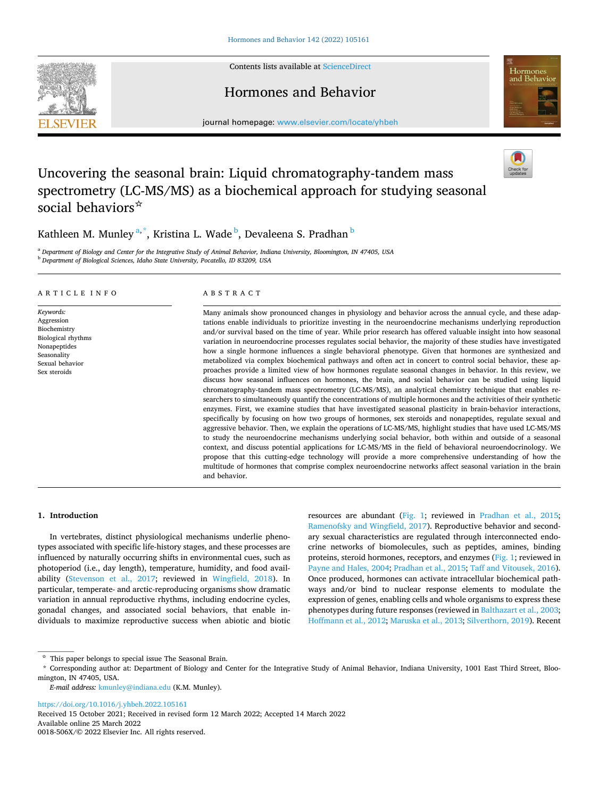<span id="page-0-0"></span>**SEVIER** 



## Hormones and Behavior



journal homepage: [www.elsevier.com/locate/yhbeh](https://www.elsevier.com/locate/yhbeh)

# Uncovering the seasonal brain: Liquid chromatography-tandem mass spectrometry (LC-MS/MS) as a biochemical approach for studying seasonal social behaviors☆

Kathleen M. Munley <sup>a,\*</sup>, Kristina L. Wade <sup>b</sup>, Devaleena S. Pradhan <sup>b</sup>

<sup>a</sup> *Department of Biology and Center for the Integrative Study of Animal Behavior, Indiana University, Bloomington, IN 47405, USA* <sup>b</sup> *Department of Biological Sciences, Idaho State University, Pocatello, ID 83209, USA* 

### ARTICLE INFO

*Keywords:*  Aggression Biochemistry Biological rhythms Nonapeptides Seasonality Sexual behavior Sex steroids

### ABSTRACT

Many animals show pronounced changes in physiology and behavior across the annual cycle, and these adaptations enable individuals to prioritize investing in the neuroendocrine mechanisms underlying reproduction and/or survival based on the time of year. While prior research has offered valuable insight into how seasonal variation in neuroendocrine processes regulates social behavior, the majority of these studies have investigated how a single hormone influences a single behavioral phenotype. Given that hormones are synthesized and metabolized via complex biochemical pathways and often act in concert to control social behavior, these approaches provide a limited view of how hormones regulate seasonal changes in behavior. In this review, we discuss how seasonal influences on hormones, the brain, and social behavior can be studied using liquid chromatography-tandem mass spectrometry (LC-MS/MS), an analytical chemistry technique that enables researchers to simultaneously quantify the concentrations of multiple hormones and the activities of their synthetic enzymes. First, we examine studies that have investigated seasonal plasticity in brain-behavior interactions, specifically by focusing on how two groups of hormones, sex steroids and nonapeptides, regulate sexual and aggressive behavior. Then, we explain the operations of LC-MS/MS, highlight studies that have used LC-MS/MS to study the neuroendocrine mechanisms underlying social behavior, both within and outside of a seasonal context, and discuss potential applications for LC-MS/MS in the field of behavioral neuroendocrinology. We propose that this cutting-edge technology will provide a more comprehensive understanding of how the multitude of hormones that comprise complex neuroendocrine networks affect seasonal variation in the brain and behavior.

### **1. Introduction**

In vertebrates, distinct physiological mechanisms underlie phenotypes associated with specific life-history stages, and these processes are influenced by naturally occurring shifts in environmental cues, such as photoperiod (i.e., day length), temperature, humidity, and food availability [\(Stevenson et al., 2017;](#page-13-0) reviewed in [Wingfield, 2018](#page-13-0)). In particular, temperate- and arctic-reproducing organisms show dramatic variation in annual reproductive rhythms, including endocrine cycles, gonadal changes, and associated social behaviors, that enable individuals to maximize reproductive success when abiotic and biotic resources are abundant [\(Fig. 1](#page-1-0); reviewed in [Pradhan et al., 2015](#page-12-0); [Ramenofsky and Wingfield, 2017\)](#page-12-0). Reproductive behavior and secondary sexual characteristics are regulated through interconnected endocrine networks of biomolecules, such as peptides, amines, binding proteins, steroid hormones, receptors, and enzymes [\(Fig. 1](#page-1-0); reviewed in [Payne and Hales, 2004](#page-12-0); [Pradhan et al., 2015](#page-12-0); [Taff and Vitousek, 2016](#page-13-0)). Once produced, hormones can activate intracellular biochemical pathways and/or bind to nuclear response elements to modulate the expression of genes, enabling cells and whole organisms to express these phenotypes during future responses (reviewed in [Balthazart et al., 2003](#page-11-0); [Hoffmann et al., 2012;](#page-11-0) [Maruska et al., 2013](#page-12-0); [Silverthorn, 2019](#page-13-0)). Recent

<https://doi.org/10.1016/j.yhbeh.2022.105161>

Available online 25 March 2022 0018-506X/© 2022 Elsevier Inc. All rights reserved. Received 15 October 2021; Received in revised form 12 March 2022; Accepted 14 March 2022

 $\boldsymbol{\dot{\mathsf{\tau}}}$  This paper belongs to special issue The Seasonal Brain.

<sup>\*</sup> Corresponding author at: Department of Biology and Center for the Integrative Study of Animal Behavior, Indiana University, 1001 East Third Street, Bloomington, IN 47405, USA.

*E-mail address:* [kmunley@indiana.edu](mailto:kmunley@indiana.edu) (K.M. Munley).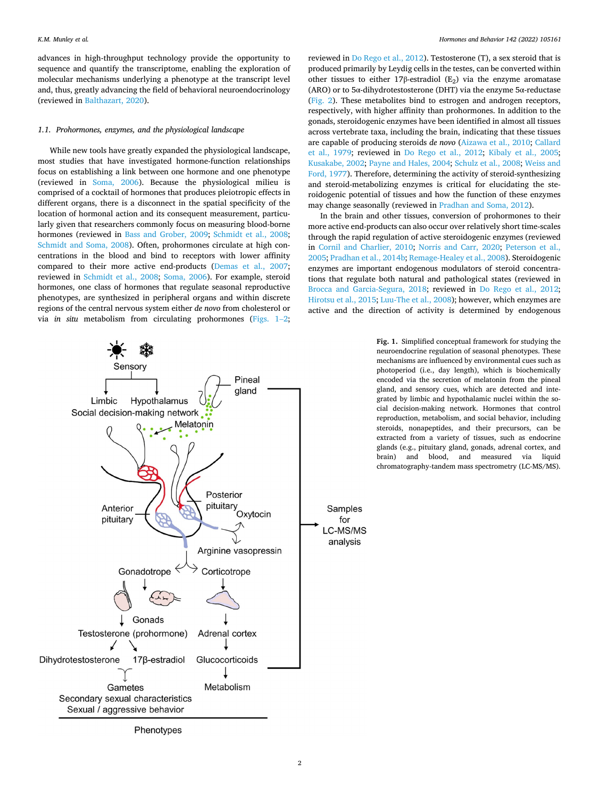<span id="page-1-0"></span>advances in high-throughput technology provide the opportunity to sequence and quantify the transcriptome, enabling the exploration of molecular mechanisms underlying a phenotype at the transcript level and, thus, greatly advancing the field of behavioral neuroendocrinology (reviewed in [Balthazart, 2020](#page-11-0)).

### *1.1. Prohormones, enzymes, and the physiological landscape*

While new tools have greatly expanded the physiological landscape, most studies that have investigated hormone-function relationships focus on establishing a link between one hormone and one phenotype (reviewed in [Soma, 2006](#page-13-0)). Because the physiological milieu is comprised of a cocktail of hormones that produces pleiotropic effects in different organs, there is a disconnect in the spatial specificity of the location of hormonal action and its consequent measurement, particularly given that researchers commonly focus on measuring blood-borne hormones (reviewed in [Bass and Grober, 2009;](#page-11-0) [Schmidt et al., 2008](#page-13-0); [Schmidt and Soma, 2008](#page-13-0)). Often, prohormones circulate at high concentrations in the blood and bind to receptors with lower affinity compared to their more active end-products [\(Demas et al., 2007](#page-11-0); reviewed in [Schmidt et al., 2008;](#page-13-0) [Soma, 2006\)](#page-13-0). For example, steroid hormones, one class of hormones that regulate seasonal reproductive phenotypes, are synthesized in peripheral organs and within discrete regions of the central nervous system either *de novo* from cholesterol or via *in situ* metabolism from circulating prohormones (Figs. 1–2;

reviewed in [Do Rego et al., 2012](#page-11-0)). Testosterone (T), a sex steroid that is produced primarily by Leydig cells in the testes, can be converted within other tissues to either 17β-estradiol (E<sub>2</sub>) via the enzyme aromatase (ARO) or to 5α-dihydrotestosterone (DHT) via the enzyme 5α-reductase ([Fig. 2\)](#page-2-0). These metabolites bind to estrogen and androgen receptors, respectively, with higher affinity than prohormones. In addition to the gonads, steroidogenic enzymes have been identified in almost all tissues across vertebrate taxa, including the brain, indicating that these tissues are capable of producing steroids *de novo* ([Aizawa et al., 2010](#page-10-0); [Callard](#page-11-0)  [et al., 1979;](#page-11-0) reviewed in [Do Rego et al., 2012](#page-11-0); [Kibaly et al., 2005](#page-12-0); [Kusakabe, 2002; Payne and Hales, 2004;](#page-12-0) [Schulz et al., 2008; Weiss and](#page-13-0)  [Ford, 1977](#page-13-0)). Therefore, determining the activity of steroid-synthesizing and steroid-metabolizing enzymes is critical for elucidating the steroidogenic potential of tissues and how the function of these enzymes may change seasonally (reviewed in [Pradhan and Soma, 2012](#page-12-0)).

In the brain and other tissues, conversion of prohormones to their more active end-products can also occur over relatively short time-scales through the rapid regulation of active steroidogenic enzymes (reviewed in [Cornil and Charlier, 2010;](#page-11-0) [Norris and Carr, 2020](#page-12-0); [Peterson et al.,](#page-12-0)  [2005; Pradhan et al., 2014b](#page-12-0); [Remage-Healey et al., 2008\)](#page-12-0). Steroidogenic enzymes are important endogenous modulators of steroid concentrations that regulate both natural and pathological states (reviewed in [Brocca and Garcia-Segura, 2018](#page-11-0); reviewed in [Do Rego et al., 2012](#page-11-0); [Hirotsu et al., 2015](#page-11-0); [Luu-The et al., 2008](#page-12-0)); however, which enzymes are active and the direction of activity is determined by endogenous

> **Fig. 1.** Simplified conceptual framework for studying the neuroendocrine regulation of seasonal phenotypes. These mechanisms are influenced by environmental cues such as photoperiod (i.e., day length), which is biochemically encoded via the secretion of melatonin from the pineal gland, and sensory cues, which are detected and integrated by limbic and hypothalamic nuclei within the social decision-making network. Hormones that control reproduction, metabolism, and social behavior, including steroids, nonapeptides, and their precursors, can be extracted from a variety of tissues, such as endocrine glands (e.g., pituitary gland, gonads, adrenal cortex, and brain) and blood, and measured via liquid chromatography-tandem mass spectrometry (LC-MS/MS).



2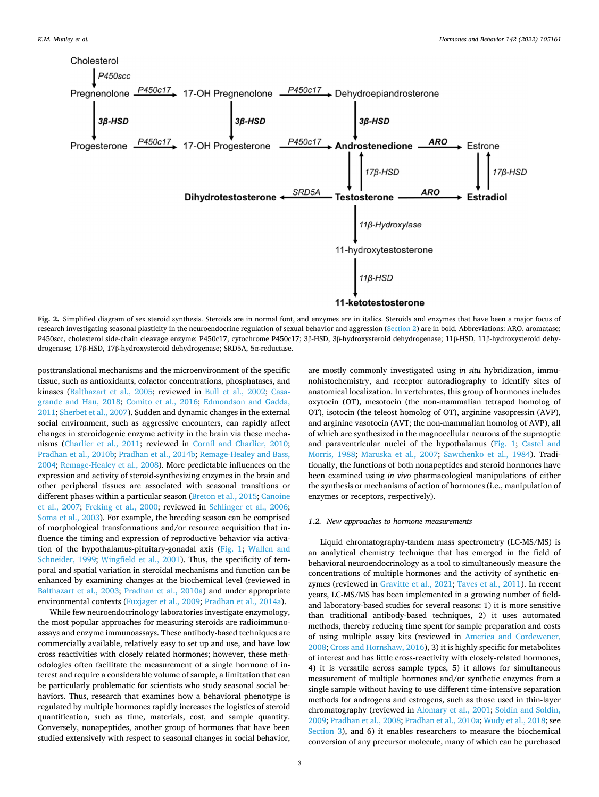<span id="page-2-0"></span>

**Fig. 2.** Simplified diagram of sex steroid synthesis. Steroids are in normal font, and enzymes are in italics. Steroids and enzymes that have been a major focus of research investigating seasonal plasticity in the neuroendocrine regulation of sexual behavior and aggression [\(Section 2](#page-3-0)) are in bold. Abbreviations: ARO, aromatase; P450scc, cholesterol side-chain cleavage enzyme; P450c17, cytochrome P450c17; 3β-HSD, 3β-hydroxysteroid dehydrogenase; 11β-HSD, 11β-hydroxysteroid dehydrogenase; 17β-HSD, 17β-hydroxysteroid dehydrogenase; SRD5A, 5α-reductase.

posttranslational mechanisms and the microenvironment of the specific tissue, such as antioxidants, cofactor concentrations, phosphatases, and kinases ([Balthazart et al., 2005;](#page-11-0) reviewed in [Bull et al., 2002](#page-11-0); [Casa](#page-11-0)[grande and Hau, 2018;](#page-11-0) [Comito et al., 2016;](#page-11-0) [Edmondson and Gadda,](#page-11-0)  [2011;](#page-11-0) [Sherbet et al., 2007\)](#page-13-0). Sudden and dynamic changes in the external social environment, such as aggressive encounters, can rapidly affect changes in steroidogenic enzyme activity in the brain via these mechanisms [\(Charlier et al., 2011](#page-11-0); reviewed in [Cornil and Charlier, 2010](#page-11-0); [Pradhan et al., 2010b; Pradhan et al., 2014b](#page-12-0); [Remage-Healey and Bass,](#page-12-0)  [2004; Remage-Healey et al., 2008\)](#page-12-0). More predictable influences on the expression and activity of steroid-synthesizing enzymes in the brain and other peripheral tissues are associated with seasonal transitions or different phases within a particular season ([Breton et al., 2015; Canoine](#page-11-0)  [et al., 2007;](#page-11-0) [Freking et al., 2000](#page-11-0); reviewed in [Schlinger et al., 2006](#page-13-0); [Soma et al., 2003](#page-13-0)). For example, the breeding season can be comprised of morphological transformations and/or resource acquisition that influence the timing and expression of reproductive behavior via activation of the hypothalamus-pituitary-gonadal axis [\(Fig. 1;](#page-1-0) [Wallen and](#page-13-0)  [Schneider, 1999;](#page-13-0) [Wingfield et al., 2001](#page-13-0)). Thus, the specificity of temporal and spatial variation in steroidal mechanisms and function can be enhanced by examining changes at the biochemical level (reviewed in [Balthazart et al., 2003](#page-11-0); [Pradhan et al., 2010a\)](#page-12-0) and under appropriate environmental contexts ([Fuxjager et al., 2009;](#page-11-0) [Pradhan et al., 2014a\)](#page-12-0).

While few neuroendocrinology laboratories investigate enzymology, the most popular approaches for measuring steroids are radioimmunoassays and enzyme immunoassays. These antibody-based techniques are commercially available, relatively easy to set up and use, and have low cross reactivities with closely related hormones; however, these methodologies often facilitate the measurement of a single hormone of interest and require a considerable volume of sample, a limitation that can be particularly problematic for scientists who study seasonal social behaviors. Thus, research that examines how a behavioral phenotype is regulated by multiple hormones rapidly increases the logistics of steroid quantification, such as time, materials, cost, and sample quantity. Conversely, nonapeptides, another group of hormones that have been studied extensively with respect to seasonal changes in social behavior,

are mostly commonly investigated using *in situ* hybridization, immunohistochemistry, and receptor autoradiography to identify sites of anatomical localization. In vertebrates, this group of hormones includes oxytocin (OT), mesotocin (the non-mammalian tetrapod homolog of OT), isotocin (the teleost homolog of OT), arginine vasopressin (AVP), and arginine vasotocin (AVT; the non-mammalian homolog of AVP), all of which are synthesized in the magnocellular neurons of the supraoptic and paraventricular nuclei of the hypothalamus [\(Fig. 1;](#page-1-0) [Castel and](#page-11-0)  [Morris, 1988](#page-11-0); [Maruska et al., 2007;](#page-12-0) [Sawchenko et al., 1984](#page-12-0)). Traditionally, the functions of both nonapeptides and steroid hormones have been examined using *in vivo* pharmacological manipulations of either the synthesis or mechanisms of action of hormones (i.e., manipulation of enzymes or receptors, respectively).

### *1.2. New approaches to hormone measurements*

Liquid chromatography-tandem mass spectrometry (LC-MS/MS) is an analytical chemistry technique that has emerged in the field of behavioral neuroendocrinology as a tool to simultaneously measure the concentrations of multiple hormones and the activity of synthetic enzymes (reviewed in [Gravitte et al., 2021](#page-11-0); [Taves et al., 2011](#page-13-0)). In recent years, LC-MS/MS has been implemented in a growing number of fieldand laboratory-based studies for several reasons: 1) it is more sensitive than traditional antibody-based techniques, 2) it uses automated methods, thereby reducing time spent for sample preparation and costs of using multiple assay kits (reviewed in [America and Cordewener,](#page-11-0)  [2008; Cross and Hornshaw, 2016\)](#page-11-0), 3) it is highly specific for metabolites of interest and has little cross-reactivity with closely-related hormones, 4) it is versatile across sample types, 5) it allows for simultaneous measurement of multiple hormones and/or synthetic enzymes from a single sample without having to use different time-intensive separation methods for androgens and estrogens, such as those used in thin-layer chromatography (reviewed in [Alomary et al., 2001;](#page-11-0) [Soldin and Soldin,](#page-13-0)  [2009;](#page-13-0) [Pradhan et al., 2008; Pradhan et al., 2010a](#page-12-0); [Wudy et al., 2018;](#page-13-0) see [Section 3](#page-5-0)), and 6) it enables researchers to measure the biochemical conversion of any precursor molecule, many of which can be purchased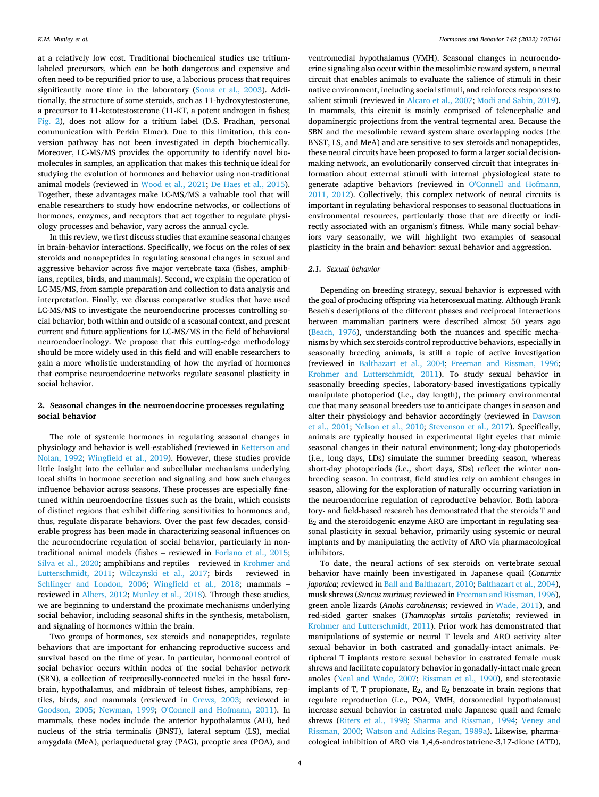<span id="page-3-0"></span>at a relatively low cost. Traditional biochemical studies use tritiumlabeled precursors, which can be both dangerous and expensive and often need to be repurified prior to use, a laborious process that requires significantly more time in the laboratory ([Soma et al., 2003](#page-13-0)). Additionally, the structure of some steroids, such as 11-hydroxytestosterone, a precursor to 11-ketotestosterone (11-KT, a potent androgen in fishes; [Fig. 2](#page-2-0)), does not allow for a tritium label (D.S. Pradhan, personal communication with Perkin Elmer). Due to this limitation, this conversion pathway has not been investigated in depth biochemically. Moreover, LC-MS/MS provides the opportunity to identify novel biomolecules in samples, an application that makes this technique ideal for studying the evolution of hormones and behavior using non-traditional animal models (reviewed in [Wood et al., 2021;](#page-13-0) [De Haes et al., 2015](#page-11-0)). Together, these advantages make LC-MS/MS a valuable tool that will enable researchers to study how endocrine networks, or collections of hormones, enzymes, and receptors that act together to regulate physiology processes and behavior, vary across the annual cycle.

In this review, we first discuss studies that examine seasonal changes in brain-behavior interactions. Specifically, we focus on the roles of sex steroids and nonapeptides in regulating seasonal changes in sexual and aggressive behavior across five major vertebrate taxa (fishes, amphibians, reptiles, birds, and mammals). Second, we explain the operation of LC-MS/MS, from sample preparation and collection to data analysis and interpretation. Finally, we discuss comparative studies that have used LC-MS/MS to investigate the neuroendocrine processes controlling social behavior, both within and outside of a seasonal context, and present current and future applications for LC-MS/MS in the field of behavioral neuroendocrinology. We propose that this cutting-edge methodology should be more widely used in this field and will enable researchers to gain a more wholistic understanding of how the myriad of hormones that comprise neuroendocrine networks regulate seasonal plasticity in social behavior.

### **2. Seasonal changes in the neuroendocrine processes regulating social behavior**

The role of systemic hormones in regulating seasonal changes in physiology and behavior is well-established (reviewed in [Ketterson and](#page-12-0)  [Nolan, 1992](#page-12-0); [Wingfield et al., 2019\)](#page-13-0). However, these studies provide little insight into the cellular and subcellular mechanisms underlying local shifts in hormone secretion and signaling and how such changes influence behavior across seasons. These processes are especially finetuned within neuroendocrine tissues such as the brain, which consists of distinct regions that exhibit differing sensitivities to hormones and, thus, regulate disparate behaviors. Over the past few decades, considerable progress has been made in characterizing seasonal influences on the neuroendocrine regulation of social behavior, particularly in nontraditional animal models (fishes – reviewed in [Forlano et al., 2015](#page-11-0); [Silva et al., 2020](#page-13-0); amphibians and reptiles – reviewed in [Krohmer and](#page-12-0)  [Lutterschmidt, 2011;](#page-12-0) [Wilczynski et al., 2017;](#page-13-0) birds – reviewed in [Schlinger and London, 2006;](#page-13-0) [Wingfield et al., 2018](#page-13-0); mammals – reviewed in [Albers, 2012;](#page-10-0) [Munley et al., 2018\)](#page-12-0). Through these studies, we are beginning to understand the proximate mechanisms underlying social behavior, including seasonal shifts in the synthesis, metabolism, and signaling of hormones within the brain.

Two groups of hormones, sex steroids and nonapeptides, regulate behaviors that are important for enhancing reproductive success and survival based on the time of year. In particular, hormonal control of social behavior occurs within nodes of the social behavior network (SBN), a collection of reciprocally-connected nuclei in the basal forebrain, hypothalamus, and midbrain of teleost fishes, amphibians, reptiles, birds, and mammals (reviewed in [Crews, 2003;](#page-11-0) reviewed in [Goodson, 2005](#page-11-0); [Newman, 1999](#page-12-0); [O'Connell and Hofmann, 2011](#page-12-0)). In mammals, these nodes include the anterior hypothalamus (AH), bed nucleus of the stria terminalis (BNST), lateral septum (LS), medial amygdala (MeA), periaqueductal gray (PAG), preoptic area (POA), and

ventromedial hypothalamus (VMH). Seasonal changes in neuroendocrine signaling also occur within the mesolimbic reward system, a neural circuit that enables animals to evaluate the salience of stimuli in their native environment, including social stimuli, and reinforces responses to salient stimuli (reviewed in [Alcaro et al., 2007](#page-10-0); [Modi and Sahin, 2019](#page-12-0)). In mammals, this circuit is mainly comprised of telencephalic and dopaminergic projections from the ventral tegmental area. Because the SBN and the mesolimbic reward system share overlapping nodes (the BNST, LS, and MeA) and are sensitive to sex steroids and nonapeptides, these neural circuits have been proposed to form a larger social decisionmaking network, an evolutionarily conserved circuit that integrates information about external stimuli with internal physiological state to generate adaptive behaviors (reviewed in [O'Connell and Hofmann,](#page-12-0)  [2011, 2012](#page-12-0)). Collectively, this complex network of neural circuits is important in regulating behavioral responses to seasonal fluctuations in environmental resources, particularly those that are directly or indirectly associated with an organism's fitness. While many social behaviors vary seasonally, we will highlight two examples of seasonal plasticity in the brain and behavior: sexual behavior and aggression.

### *2.1. Sexual behavior*

Depending on breeding strategy, sexual behavior is expressed with the goal of producing offspring via heterosexual mating. Although Frank Beach's descriptions of the different phases and reciprocal interactions between mammalian partners were described almost 50 years ago ([Beach, 1976\)](#page-11-0), understanding both the nuances and specific mechanisms by which sex steroids control reproductive behaviors, especially in seasonally breeding animals, is still a topic of active investigation (reviewed in [Balthazart et al., 2004](#page-11-0); [Freeman and Rissman, 1996](#page-11-0); [Krohmer and Lutterschmidt, 2011](#page-12-0)). To study sexual behavior in seasonally breeding species, laboratory-based investigations typically manipulate photoperiod (i.e., day length), the primary environmental cue that many seasonal breeders use to anticipate changes in season and alter their physiology and behavior accordingly (reviewed in [Dawson](#page-11-0)  [et al., 2001](#page-11-0); [Nelson et al., 2010;](#page-12-0) [Stevenson et al., 2017\)](#page-13-0). Specifically, animals are typically housed in experimental light cycles that mimic seasonal changes in their natural environment; long-day photoperiods (i.e., long days, LDs) simulate the summer breeding season, whereas short-day photoperiods (i.e., short days, SDs) reflect the winter nonbreeding season. In contrast, field studies rely on ambient changes in season, allowing for the exploration of naturally occurring variation in the neuroendocrine regulation of reproductive behavior. Both laboratory- and field-based research has demonstrated that the steroids T and  $E_2$  and the steroidogenic enzyme ARO are important in regulating seasonal plasticity in sexual behavior, primarily using systemic or neural implants and by manipulating the activity of ARO via pharmacological inhibitors.

To date, the neural actions of sex steroids on vertebrate sexual behavior have mainly been investigated in Japanese quail (*Coturnix japonica*; reviewed in [Ball and Balthazart, 2010; Balthazart et al., 2004](#page-11-0)), musk shrews (*Suncus murinus*; reviewed in [Freeman and Rissman, 1996](#page-11-0)), green anole lizards (*Anolis carolinensis*; reviewed in [Wade, 2011](#page-13-0)), and red-sided garter snakes (*Thamnophis sirtalis parietalis*; reviewed in [Krohmer and Lutterschmidt, 2011](#page-12-0)). Prior work has demonstrated that manipulations of systemic or neural T levels and ARO activity alter sexual behavior in both castrated and gonadally-intact animals. Peripheral T implants restore sexual behavior in castrated female musk shrews and facilitate copulatory behavior in gonadally-intact male green anoles [\(Neal and Wade, 2007](#page-12-0); [Rissman et al., 1990\)](#page-12-0), and stereotaxic implants of T, T propionate,  $E_2$ , and  $E_2$  benzoate in brain regions that regulate reproduction (i.e., POA, VMH, dorsomedial hypothalamus) increase sexual behavior in castrated male Japanese quail and female shrews ([Riters et al., 1998](#page-12-0); [Sharma and Rissman, 1994;](#page-13-0) [Veney and](#page-13-0)  [Rissman, 2000;](#page-13-0) [Watson and Adkins-Regan, 1989a](#page-13-0)). Likewise, pharmacological inhibition of ARO via 1,4,6-androstatriene-3,17-dione (ATD),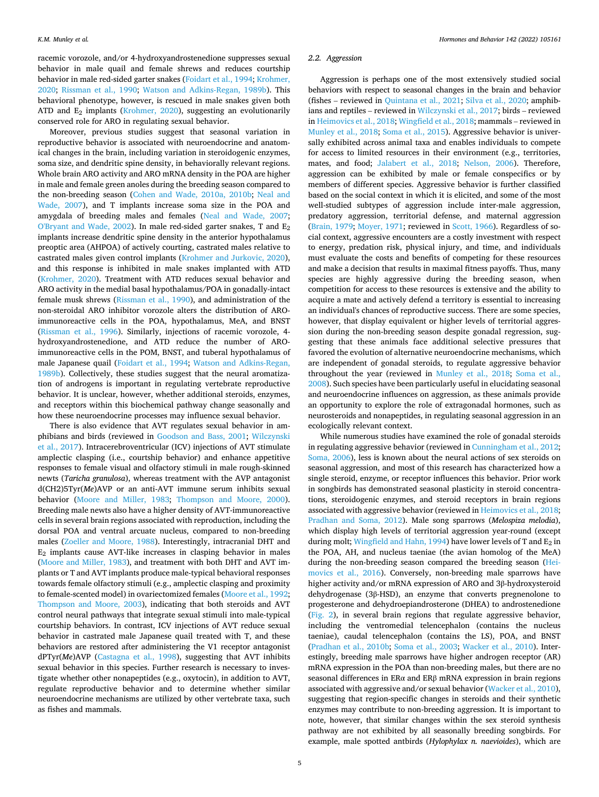racemic vorozole, and/or 4-hydroxyandrostenedione suppresses sexual behavior in male quail and female shrews and reduces courtship behavior in male red-sided garter snakes [\(Foidart et al., 1994](#page-11-0); [Krohmer,](#page-12-0)  [2020;](#page-12-0) [Rissman et al., 1990](#page-12-0); [Watson and Adkins-Regan, 1989b](#page-13-0)). This behavioral phenotype, however, is rescued in male snakes given both ATD and  $E_2$  implants ([Krohmer, 2020](#page-12-0)), suggesting an evolutionarily conserved role for ARO in regulating sexual behavior.

Moreover, previous studies suggest that seasonal variation in reproductive behavior is associated with neuroendocrine and anatomical changes in the brain, including variation in steroidogenic enzymes, soma size, and dendritic spine density, in behaviorally relevant regions. Whole brain ARO activity and ARO mRNA density in the POA are higher in male and female green anoles during the breeding season compared to the non-breeding season [\(Cohen and Wade, 2010a, 2010b](#page-11-0); [Neal and](#page-12-0)  [Wade, 2007](#page-12-0)), and T implants increase soma size in the POA and amygdala of breeding males and females [\(Neal and Wade, 2007](#page-12-0); [O'Bryant and Wade, 2002](#page-12-0)). In male red-sided garter snakes, T and E2 implants increase dendritic spine density in the anterior hypothalamus preoptic area (AHPOA) of actively courting, castrated males relative to castrated males given control implants ([Krohmer and Jurkovic, 2020](#page-12-0)), and this response is inhibited in male snakes implanted with ATD ([Krohmer, 2020\)](#page-12-0). Treatment with ATD reduces sexual behavior and ARO activity in the medial basal hypothalamus/POA in gonadally-intact female musk shrews ([Rissman et al., 1990](#page-12-0)), and administration of the non-steroidal ARO inhibitor vorozole alters the distribution of AROimmunoreactive cells in the POA, hypothalamus, MeA, and BNST ([Rissman et al., 1996](#page-12-0)). Similarly, injections of racemic vorozole, 4 hydroxyandrostenedione, and ATD reduce the number of AROimmunoreactive cells in the POM, BNST, and tuberal hypothalamus of male Japanese quail ([Foidart et al., 1994;](#page-11-0) [Watson and Adkins-Regan,](#page-13-0)  [1989b\)](#page-13-0). Collectively, these studies suggest that the neural aromatization of androgens is important in regulating vertebrate reproductive behavior. It is unclear, however, whether additional steroids, enzymes, and receptors within this biochemical pathway change seasonally and how these neuroendocrine processes may influence sexual behavior.

There is also evidence that AVT regulates sexual behavior in amphibians and birds (reviewed in [Goodson and Bass, 2001](#page-11-0); [Wilczynski](#page-13-0)  [et al., 2017](#page-13-0)). Intracerebroventricular (ICV) injections of AVT stimulate amplectic clasping (i.e., courtship behavior) and enhance appetitive responses to female visual and olfactory stimuli in male rough-skinned newts (*Taricha granulosa*), whereas treatment with the AVP antagonist d(CH2)5Tyr(*Me*)AVP or an anti-AVT immune serum inhibits sexual behavior ([Moore and Miller, 1983;](#page-12-0) [Thompson and Moore, 2000](#page-13-0)). Breeding male newts also have a higher density of AVT-immunoreactive cells in several brain regions associated with reproduction, including the dorsal POA and ventral arcuate nucleus, compared to non-breeding males ([Zoeller and Moore, 1988\)](#page-13-0). Interestingly, intracranial DHT and E2 implants cause AVT-like increases in clasping behavior in males ([Moore and Miller, 1983\)](#page-12-0), and treatment with both DHT and AVT implants or T and AVT implants produce male-typical behavioral responses towards female olfactory stimuli (e.g., amplectic clasping and proximity to female-scented model) in ovariectomized females [\(Moore et al., 1992](#page-12-0); [Thompson and Moore, 2003](#page-13-0)), indicating that both steroids and AVT control neural pathways that integrate sexual stimuli into male-typical courtship behaviors. In contrast, ICV injections of AVT reduce sexual behavior in castrated male Japanese quail treated with T, and these behaviors are restored after administering the V1 receptor antagonist dPTyr(*Me*)AVP [\(Castagna et al., 1998](#page-11-0)), suggesting that AVT inhibits sexual behavior in this species. Further research is necessary to investigate whether other nonapeptides (e.g., oxytocin), in addition to AVT, regulate reproductive behavior and to determine whether similar neuroendocrine mechanisms are utilized by other vertebrate taxa, such as fishes and mammals.

#### *2.2. Aggression*

Aggression is perhaps one of the most extensively studied social behaviors with respect to seasonal changes in the brain and behavior (fishes – reviewed in [Quintana et al., 2021;](#page-12-0) [Silva et al., 2020;](#page-13-0) amphibians and reptiles – reviewed in [Wilczynski et al., 2017](#page-13-0); birds – reviewed in [Heimovics et al., 2018;](#page-11-0) [Wingfield et al., 2018;](#page-13-0) mammals – reviewed in [Munley et al., 2018](#page-12-0); [Soma et al., 2015\)](#page-13-0). Aggressive behavior is universally exhibited across animal taxa and enables individuals to compete for access to limited resources in their environment (e.g., territories, mates, and food; [Jalabert et al., 2018;](#page-11-0) [Nelson, 2006\)](#page-12-0). Therefore, aggression can be exhibited by male or female conspecifics or by members of different species. Aggressive behavior is further classified based on the social context in which it is elicited, and some of the most well-studied subtypes of aggression include inter-male aggression, predatory aggression, territorial defense, and maternal aggression ([Brain, 1979](#page-11-0); [Moyer, 1971](#page-12-0); reviewed in [Scott, 1966](#page-13-0)). Regardless of social context, aggressive encounters are a costly investment with respect to energy, predation risk, physical injury, and time, and individuals must evaluate the costs and benefits of competing for these resources and make a decision that results in maximal fitness payoffs. Thus, many species are highly aggressive during the breeding season, when competition for access to these resources is extensive and the ability to acquire a mate and actively defend a territory is essential to increasing an individual's chances of reproductive success. There are some species, however, that display equivalent or higher levels of territorial aggression during the non-breeding season despite gonadal regression, suggesting that these animals face additional selective pressures that favored the evolution of alternative neuroendocrine mechanisms, which are independent of gonadal steroids, to regulate aggressive behavior throughout the year (reviewed in [Munley et al., 2018](#page-12-0); [Soma et al.,](#page-13-0)  [2008\)](#page-13-0). Such species have been particularly useful in elucidating seasonal and neuroendocrine influences on aggression, as these animals provide an opportunity to explore the role of extragonadal hormones, such as neurosteroids and nonapeptides, in regulating seasonal aggression in an ecologically relevant context.

While numerous studies have examined the role of gonadal steroids in regulating aggressive behavior (reviewed in [Cunningham et al., 2012](#page-11-0); [Soma, 2006\)](#page-13-0), less is known about the neural actions of sex steroids on seasonal aggression, and most of this research has characterized how a single steroid, enzyme, or receptor influences this behavior. Prior work in songbirds has demonstrated seasonal plasticity in steroid concentrations, steroidogenic enzymes, and steroid receptors in brain regions associated with aggressive behavior (reviewed in [Heimovics et al., 2018](#page-11-0); [Pradhan and Soma, 2012](#page-12-0)). Male song sparrows (*Melospiza melodia*), which display high levels of territorial aggression year-round (except during molt; [Wingfield and Hahn, 1994\)](#page-13-0) have lower levels of T and  $E_2$  in the POA, AH, and nucleus taeniae (the avian homolog of the MeA) during the non-breeding season compared the breeding season ([Hei](#page-11-0)[movics et al., 2016\)](#page-11-0). Conversely, non-breeding male sparrows have higher activity and/or mRNA expression of ARO and 3β-hydroxysteroid dehydrogenase (3β-HSD), an enzyme that converts pregnenolone to progesterone and dehydroepiandrosterone (DHEA) to androstenedione ([Fig. 2](#page-2-0)), in several brain regions that regulate aggressive behavior, including the ventromedial telencephalon (contains the nucleus taeniae), caudal telencephalon (contains the LS), POA, and BNST ([Pradhan et al., 2010b](#page-12-0); [Soma et al., 2003](#page-13-0); [Wacker et al., 2010](#page-13-0)). Interestingly, breeding male sparrows have higher androgen receptor (AR) mRNA expression in the POA than non-breeding males, but there are no seasonal differences in ERα and ERβ mRNA expression in brain regions associated with aggressive and/or sexual behavior ([Wacker et al., 2010](#page-13-0)), suggesting that region-specific changes in steroids and their synthetic enzymes may contribute to non-breeding aggression. It is important to note, however, that similar changes within the sex steroid synthesis pathway are not exhibited by all seasonally breeding songbirds. For example, male spotted antbirds (*Hylophylax n. naevioides*), which are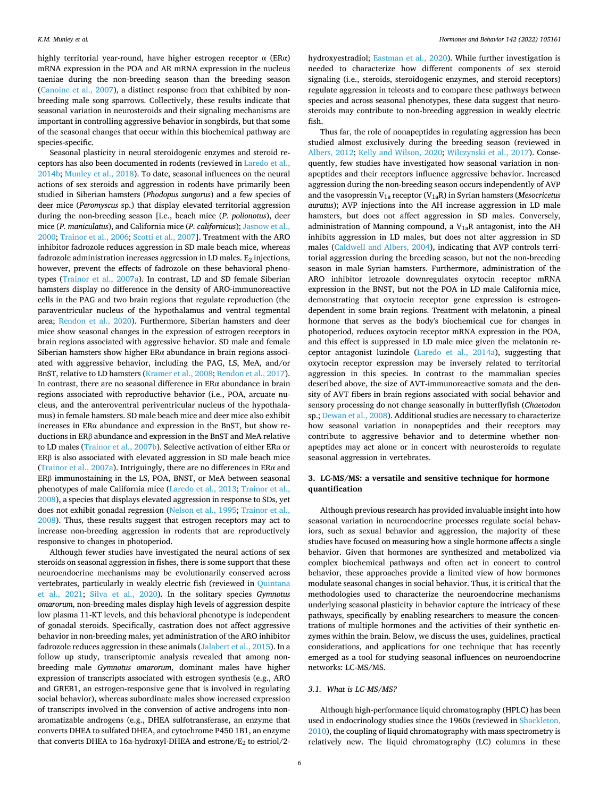<span id="page-5-0"></span>highly territorial year-round, have higher estrogen receptor  $\alpha$  (ER $\alpha$ ) mRNA expression in the POA and AR mRNA expression in the nucleus taeniae during the non-breeding season than the breeding season ([Canoine et al., 2007\)](#page-11-0), a distinct response from that exhibited by nonbreeding male song sparrows. Collectively, these results indicate that seasonal variation in neurosteroids and their signaling mechanisms are important in controlling aggressive behavior in songbirds, but that some of the seasonal changes that occur within this biochemical pathway are species-specific.

Seasonal plasticity in neural steroidogenic enzymes and steroid receptors has also been documented in rodents (reviewed in [Laredo et al.,](#page-12-0)  [2014b; Munley et al., 2018](#page-12-0)). To date, seasonal influences on the neural actions of sex steroids and aggression in rodents have primarily been studied in Siberian hamsters (*Phodopus sungorus*) and a few species of deer mice (*Peromyscus* sp.) that display elevated territorial aggression during the non-breeding season [i.e., beach mice (*P. polionotus*), deer mice (*P. maniculatus*), and California mice (*P. californicus*); [Jasnow et al.,](#page-12-0)  [2000;](#page-12-0) [Trainor et al., 2006](#page-13-0); [Scotti et al., 2007\]](#page-13-0). Treatment with the ARO inhibitor fadrozole reduces aggression in SD male beach mice, whereas fadrozole administration increases aggression in LD males.  $E_2$  injections, however, prevent the effects of fadrozole on these behavioral phenotypes [\(Trainor et al., 2007a\)](#page-13-0). In contrast, LD and SD female Siberian hamsters display no difference in the density of ARO-immunoreactive cells in the PAG and two brain regions that regulate reproduction (the paraventricular nucleus of the hypothalamus and ventral tegmental area; [Rendon et al., 2020\)](#page-12-0). Furthermore, Siberian hamsters and deer mice show seasonal changes in the expression of estrogen receptors in brain regions associated with aggressive behavior. SD male and female Siberian hamsters show higher  $ER\alpha$  abundance in brain regions associated with aggressive behavior, including the PAG, LS, MeA, and/or BnST, relative to LD hamsters ([Kramer et al., 2008; Rendon et al., 2017](#page-12-0)). In contrast, there are no seasonal difference in ER $\alpha$  abundance in brain regions associated with reproductive behavior (i.e., POA, arcuate nucleus, and the anteroventral periventricular nucleus of the hypothalamus) in female hamsters. SD male beach mice and deer mice also exhibit increases in  $ER\alpha$  abundance and expression in the BnST, but show reductions in ERβ abundance and expression in the BnST and MeA relative to LD males ([Trainor et al., 2007b\)](#page-13-0). Selective activation of either ERα or ERβ is also associated with elevated aggression in SD male beach mice ([Trainor et al., 2007a\)](#page-13-0). Intriguingly, there are no differences in ER $\alpha$  and ERβ immunostaining in the LS, POA, BNST, or MeA between seasonal phenotypes of male California mice ([Laredo et al., 2013](#page-12-0); [Trainor et al.,](#page-13-0)  [2008\)](#page-13-0), a species that displays elevated aggression in response to SDs, yet does not exhibit gonadal regression ([Nelson et al., 1995](#page-12-0); [Trainor et al.,](#page-13-0)  [2008\)](#page-13-0). Thus, these results suggest that estrogen receptors may act to increase non-breeding aggression in rodents that are reproductively responsive to changes in photoperiod.

Although fewer studies have investigated the neural actions of sex steroids on seasonal aggression in fishes, there is some support that these neuroendocrine mechanisms may be evolutionarily conserved across vertebrates, particularly in weakly electric fish (reviewed in Quintana [et al., 2021;](#page-12-0) [Silva et al., 2020\)](#page-13-0). In the solitary species *Gymnotus omarorum*, non-breeding males display high levels of aggression despite low plasma 11-KT levels, and this behavioral phenotype is independent of gonadal steroids. Specifically, castration does not affect aggressive behavior in non-breeding males, yet administration of the ARO inhibitor fadrozole reduces aggression in these animals ([Jalabert et al., 2015\)](#page-12-0). In a follow up study, transcriptomic analysis revealed that among nonbreeding male *Gymnotus omarorum*, dominant males have higher expression of transcripts associated with estrogen synthesis (e.g., ARO and GREB1, an estrogen-responsive gene that is involved in regulating social behavior), whereas subordinate males show increased expression of transcripts involved in the conversion of active androgens into nonaromatizable androgens (e.g., DHEA sulfotransferase, an enzyme that converts DHEA to sulfated DHEA, and cytochrome P450 1B1, an enzyme that converts DHEA to 16a-hydroxyl-DHEA and estrone/E<sub>2</sub> to estriol/2hydroxyestradiol; [Eastman et al., 2020\)](#page-11-0). While further investigation is needed to characterize how different components of sex steroid signaling (i.e., steroids, steroidogenic enzymes, and steroid receptors) regulate aggression in teleosts and to compare these pathways between species and across seasonal phenotypes, these data suggest that neurosteroids may contribute to non-breeding aggression in weakly electric fish.

Thus far, the role of nonapeptides in regulating aggression has been studied almost exclusively during the breeding season (reviewed in [Albers, 2012;](#page-10-0) [Kelly and Wilson, 2020;](#page-12-0) [Wilczynski et al., 2017](#page-13-0)). Consequently, few studies have investigated how seasonal variation in nonapeptides and their receptors influence aggressive behavior. Increased aggression during the non-breeding season occurs independently of AVP and the vasopressin V1a receptor (V1aR) in Syrian hamsters (*Mesocricetus auratus*); AVP injections into the AH increase aggression in LD male hamsters, but does not affect aggression in SD males. Conversely, administration of Manning compound, a  $V_{1a}R$  antagonist, into the AH inhibits aggression in LD males, but does not alter aggression in SD males ([Caldwell and Albers, 2004\)](#page-11-0), indicating that AVP controls territorial aggression during the breeding season, but not the non-breeding season in male Syrian hamsters. Furthermore, administration of the ARO inhibitor letrozole downregulates oxytocin receptor mRNA expression in the BNST, but not the POA in LD male California mice, demonstrating that oxytocin receptor gene expression is estrogendependent in some brain regions. Treatment with melatonin, a pineal hormone that serves as the body's biochemical cue for changes in photoperiod, reduces oxytocin receptor mRNA expression in the POA, and this effect is suppressed in LD male mice given the melatonin receptor antagonist luzindole ([Laredo et al., 2014a](#page-12-0)), suggesting that oxytocin receptor expression may be inversely related to territorial aggression in this species. In contrast to the mammalian species described above, the size of AVT-immunoreactive somata and the density of AVT fibers in brain regions associated with social behavior and sensory processing do not change seasonally in butterflyfish (*Chaetodon*  sp.; [Dewan et al., 2008](#page-11-0)). Additional studies are necessary to characterize how seasonal variation in nonapeptides and their receptors may contribute to aggressive behavior and to determine whether nonapeptides may act alone or in concert with neurosteroids to regulate seasonal aggression in vertebrates.

### **3. LC-MS/MS: a versatile and sensitive technique for hormone quantification**

Although previous research has provided invaluable insight into how seasonal variation in neuroendocrine processes regulate social behaviors, such as sexual behavior and aggression, the majority of these studies have focused on measuring how a single hormone affects a single behavior. Given that hormones are synthesized and metabolized via complex biochemical pathways and often act in concert to control behavior, these approaches provide a limited view of how hormones modulate seasonal changes in social behavior. Thus, it is critical that the methodologies used to characterize the neuroendocrine mechanisms underlying seasonal plasticity in behavior capture the intricacy of these pathways, specifically by enabling researchers to measure the concentrations of multiple hormones and the activities of their synthetic enzymes within the brain. Below, we discuss the uses, guidelines, practical considerations, and applications for one technique that has recently emerged as a tool for studying seasonal influences on neuroendocrine networks: LC-MS/MS.

### *3.1. What is LC-MS/MS?*

Although high-performance liquid chromatography (HPLC) has been used in endocrinology studies since the 1960s (reviewed in [Shackleton,](#page-13-0)  [2010\)](#page-13-0), the coupling of liquid chromatography with mass spectrometry is relatively new. The liquid chromatography (LC) columns in these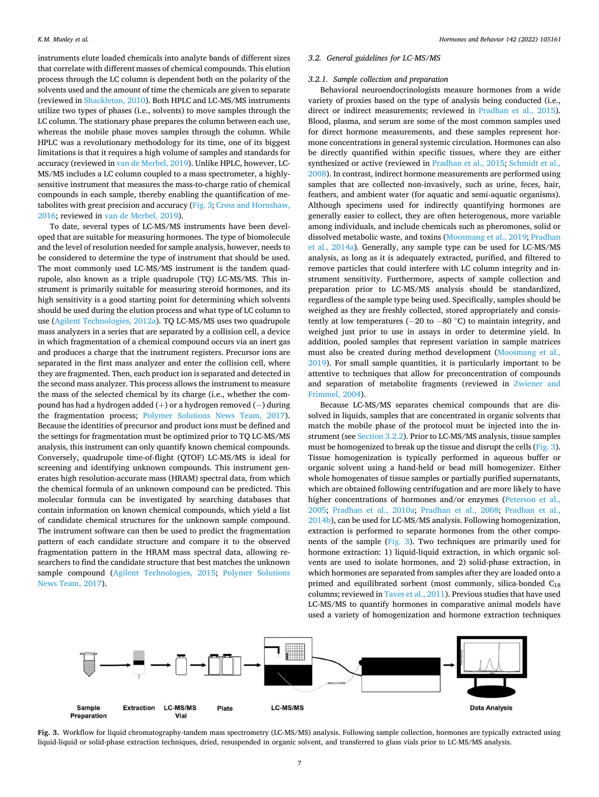<span id="page-6-0"></span>instruments elute loaded chemicals into analyte bands of different sizes that correlate with different masses of chemical compounds. This elution process through the LC column is dependent both on the polarity of the solvents used and the amount of time the chemicals are given to separate (reviewed in [Shackleton, 2010\)](#page-13-0). Both HPLC and LC-MS/MS instruments utilize two types of phases (i.e., solvents) to move samples through the LC column. The stationary phase prepares the column between each use, whereas the mobile phase moves samples through the column. While HPLC was a revolutionary methodology for its time, one of its biggest limitations is that it requires a high volume of samples and standards for accuracy (reviewed in [van de Merbel, 2019](#page-13-0)). Unlike HPLC, however, LC-MS/MS includes a LC column coupled to a mass spectrometer, a highlysensitive instrument that measures the mass-to-charge ratio of chemical compounds in each sample, thereby enabling the quantification of metabolites with great precision and accuracy (Fig. 3; [Cross and Hornshaw,](#page-11-0)  [2016;](#page-11-0) reviewed in [van de Merbel, 2019](#page-13-0)).

To date, several types of LC-MS/MS instruments have been developed that are suitable for measuring hormones. The type of biomolecule and the level of resolution needed for sample analysis, however, needs to be considered to determine the type of instrument that should be used. The most commonly used LC-MS/MS instrument is the tandem quadrupole, also known as a triple quadrupole (TQ) LC-MS/MS. This instrument is primarily suitable for measuring steroid hormones, and its high sensitivity is a good starting point for determining which solvents should be used during the elution process and what type of LC column to use ([Agilent Technologies, 2012a](#page-13-0)). TQ LC-MS/MS uses two quadrupole mass analyzers in a series that are separated by a collision cell, a device in which fragmentation of a chemical compound occurs via an inert gas and produces a charge that the instrument registers. Precursor ions are separated in the first mass analyzer and enter the collision cell, where they are fragmented. Then, each product ion is separated and detected in the second mass analyzer. This process allows the instrument to measure the mass of the selected chemical by its charge (i.e., whether the compound has had a hydrogen added (+) or a hydrogen removed (− ) during the fragmentation process; [Polymer Solutions News Team, 2017](#page-13-0)). Because the identities of precursor and product ions must be defined and the settings for fragmentation must be optimized prior to TQ LC-MS/MS analysis, this instrument can only quantify known chemical compounds. Conversely, quadrupole time-of-flight (QTOF) LC-MS/MS is ideal for screening and identifying unknown compounds. This instrument generates high resolution-accurate mass (HRAM) spectral data, from which the chemical formula of an unknown compound can be predicted. This molecular formula can be investigated by searching databases that contain information on known chemical compounds, which yield a list of candidate chemical structures for the unknown sample compound. The instrument software can then be used to predict the fragmentation pattern of each candidate structure and compare it to the observed fragmentation pattern in the HRAM mass spectral data, allowing researchers to find the candidate structure that best matches the unknown sample compound ([Agilent Technologies, 2015](#page-13-0); [Polymer Solutions](#page-13-0)  [News Team, 2017](#page-13-0)).

### *3.2. General guidelines for LC-MS/MS*

### *3.2.1. Sample collection and preparation*

Behavioral neuroendocrinologists measure hormones from a wide variety of proxies based on the type of analysis being conducted (i.e., direct or indirect measurements; reviewed in [Pradhan et al., 2015](#page-12-0)). Blood, plasma, and serum are some of the most common samples used for direct hormone measurements, and these samples represent hormone concentrations in general systemic circulation. Hormones can also be directly quantified within specific tissues, where they are either synthesized or active (reviewed in [Pradhan et al., 2015;](#page-12-0) [Schmidt et al.,](#page-13-0)  [2008\)](#page-13-0). In contrast, indirect hormone measurements are performed using samples that are collected non-invasively, such as urine, feces, hair, feathers, and ambient water (for aquatic and semi-aquatic organisms). Although specimens used for indirectly quantifying hormones are generally easier to collect, they are often heterogenous, more variable among individuals, and include chemicals such as pheromones, solid or dissolved metabolic waste, and toxins ([Moosmang et al., 2019; Pradhan](#page-12-0)  [et al., 2014a](#page-12-0)). Generally, any sample type can be used for LC-MS/MS analysis, as long as it is adequately extracted, purified, and filtered to remove particles that could interfere with LC column integrity and instrument sensitivity. Furthermore, aspects of sample collection and preparation prior to LC-MS/MS analysis should be standardized, regardless of the sample type being used. Specifically, samples should be weighed as they are freshly collected, stored appropriately and consistently at low temperatures ( $-20$  to  $-80$  °C) to maintain integrity, and weighed just prior to use in assays in order to determine yield. In addition, pooled samples that represent variation in sample matrices must also be created during method development ([Moosmang et al.,](#page-12-0)  [2019\)](#page-12-0). For small sample quantities, it is particularly important to be attentive to techniques that allow for preconcentration of compounds and separation of metabolite fragments (reviewed in [Zwiener and](#page-13-0)  [Frimmel, 2004\)](#page-13-0).

Because LC-MS/MS separates chemical compounds that are dissolved in liquids, samples that are concentrated in organic solvents that match the mobile phase of the protocol must be injected into the instrument (see [Section 3.2.2](#page-7-0)). Prior to LC-MS/MS analysis, tissue samples must be homogenized to break up the tissue and disrupt the cells (Fig. 3). Tissue homogenization is typically performed in aqueous buffer or organic solvent using a hand-held or bead mill homogenizer. Either whole homogenates of tissue samples or partially purified supernatants, which are obtained following centrifugation and are more likely to have higher concentrations of hormones and/or enzymes (Peterson et al., [2005;](#page-12-0) [Pradhan et al., 2010a](#page-12-0); [Pradhan et al., 2008](#page-12-0); [Pradhan et al.,](#page-12-0)  [2014b\)](#page-12-0), can be used for LC-MS/MS analysis. Following homogenization, extraction is performed to separate hormones from the other components of the sample (Fig. 3). Two techniques are primarily used for hormone extraction: 1) liquid-liquid extraction, in which organic solvents are used to isolate hormones, and 2) solid-phase extraction, in which hormones are separated from samples after they are loaded onto a primed and equilibrated sorbent (most commonly, silica-bonded  $C_{18}$ columns; reviewed in [Taves et al., 2011\)](#page-13-0). Previous studies that have used LC-MS/MS to quantify hormones in comparative animal models have used a variety of homogenization and hormone extraction techniques



**Fig. 3.** Workflow for liquid chromatography-tandem mass spectrometry (LC-MS/MS) analysis. Following sample collection, hormones are typically extracted using liquid-liquid or solid-phase extraction techniques, dried, resuspended in organic solvent, and transferred to glass vials prior to LC-MS/MS analysis.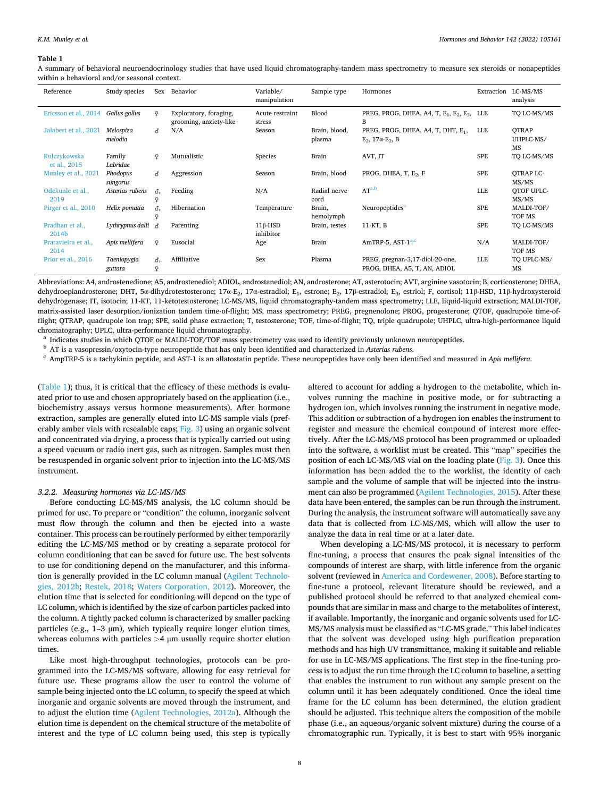#### <span id="page-7-0"></span>**Table 1**

A summary of behavioral neuroendocrinology studies that have used liquid chromatography-tandem mass spectrometry to measure sex steroids or nonapeptides within a behavioral and/or seasonal context.

| Reference                    | Study species          | Sex          | Behavior                                         | Variable/<br>manipulation   | Sample type             | Hormones                                                                             | Extraction | LC-MS/MS<br>analysis            |
|------------------------------|------------------------|--------------|--------------------------------------------------|-----------------------------|-------------------------|--------------------------------------------------------------------------------------|------------|---------------------------------|
| Ericsson et al., 2014        | Gallus gallus          | $\mathsf{Q}$ | Exploratory, foraging,<br>grooming, anxiety-like | Acute restraint<br>stress   | Blood                   | PREG, PROG, DHEA, A4, T, E <sub>1</sub> , E <sub>2</sub> , E <sub>3</sub> , LLE<br>B |            | TO LC-MS/MS                     |
| Jalabert et al., 2021        | Melospiza<br>melodia   | δ            | N/A                                              | Season                      | Brain, blood,<br>plasma | PREG, PROG, DHEA, A4, T, DHT, E <sub>1</sub> ,<br>$E_2$ , 17 $\alpha$ - $E_2$ , B    | LLE        | <b>OTRAP</b><br>UHPLC-MS/<br>MS |
| Kulczykowska<br>et al., 2015 | Family<br>Labridae     | $\mathsf{Q}$ | Mutualistic                                      | Species                     | Brain                   | AVT, IT                                                                              | <b>SPE</b> | TO LC-MS/MS                     |
| Munley et al., 2021          | Phodopus<br>sungorus   | ♂            | Aggression                                       | Season                      | Brain, blood            | PROG, DHEA, T, $E_2$ , F                                                             | SPE        | OTRAP LC-<br>MS/MS              |
| Odekunle et al.,<br>2019     | Asterias rubens        | δ.<br>Q      | Feeding                                          | N/A                         | Radial nerve<br>cord    | $AT^{a,b}$                                                                           | <b>LLE</b> | OTOF UPLC-<br>MS/MS             |
| Pirger et al., 2010          | Helix pomatia          | δ,           | Hibernation                                      | Temperature                 | Brain,<br>hemolymph     | Neuropeptides <sup>a</sup>                                                           | SPE        | MALDI-TOF/<br>TOF MS            |
| Pradhan et al.,<br>2014b     | Lythrypnus dalli       |              | Parenting                                        | $11\beta$ -HSD<br>inhibitor | Brain, testes           | 11-KT, B                                                                             | <b>SPE</b> | TO LC-MS/MS                     |
| Pratavieira et al.,<br>2014  | Apis mellifera         | $\Omega$     | Eusocial                                         | Age                         | Brain                   | AmTRP-5, AST-1 <sup>a,c</sup>                                                        | N/A        | MALDI-TOF/<br>TOF MS            |
| Prior et al., 2016           | Taeniopygia<br>guttata | δ,<br>¥      | Affiliative                                      | Sex                         | Plasma                  | PREG, pregnan-3,17-diol-20-one,<br>PROG, DHEA, A5, T, AN, ADIOL                      | LLE        | TO UPLC-MS/<br>MS               |

Abbreviations: A4, androstenedione; A5, androstenediol; ADIOL, androstanediol; AN, androsterone; AT, asterotocin; AVT, arginine vasotocin; B, corticosterone; DHEA, dehydroepiandrosterone; DHT, 5α-dihydrotestosterone; 17α-E<sub>2</sub>, 17α-estradiol; E<sub>1</sub>, estrone; E<sub>2</sub>, 17β-estradiol; E<sub>3</sub>, estriol; F, cortisol; 11β-HSD, 11β-hydroxysteroid dehydrogenase; IT, isotocin; 11-KT, 11-ketotestosterone; LC-MS/MS, liquid chromatography-tandem mass spectrometry; LLE, liquid-liquid extraction; MALDI-TOF, matrix-assisted laser desorption/ionization tandem time-of-flight; MS, mass spectrometry; PREG, pregnenolone; PROG, progesterone; QTOF, quadrupole time-offlight; QTRAP, quadrupole ion trap; SPE, solid phase extraction; T, testosterone; TOF, time-of-flight; TQ, triple quadrupole; UHPLC, ultra-high-performance liquid chromatography; UPLC, ultra-performance liquid chromatography.<br><sup>a</sup> Indicates studies in which QTOF or MALDI-TOF/TOF mass spectrometry was used to identify previously unknown neuropeptides.<br><sup>b</sup> AT is a vasopressin/oxytocin-

(Table 1); thus, it is critical that the efficacy of these methods is evaluated prior to use and chosen appropriately based on the application (i.e., biochemistry assays versus hormone measurements). After hormone extraction, samples are generally eluted into LC-MS sample vials (pref-erably amber vials with resealable caps; [Fig. 3\)](#page-6-0) using an organic solvent and concentrated via drying, a process that is typically carried out using a speed vacuum or radio inert gas, such as nitrogen. Samples must then be resuspended in organic solvent prior to injection into the LC-MS/MS instrument.

### *3.2.2. Measuring hormones via LC-MS/MS*

Before conducting LC-MS/MS analysis, the LC column should be primed for use. To prepare or "condition" the column, inorganic solvent must flow through the column and then be ejected into a waste container. This process can be routinely performed by either temporarily editing the LC-MS/MS method or by creating a separate protocol for column conditioning that can be saved for future use. The best solvents to use for conditioning depend on the manufacturer, and this information is generally provided in the LC column manual ([Agilent Technolo](#page-13-0)[gies, 2012b](#page-13-0); [Restek, 2018;](#page-12-0) [Waters Corporation, 2012\)](#page-11-0). Moreover, the elution time that is selected for conditioning will depend on the type of LC column, which is identified by the size of carbon particles packed into the column. A tightly packed column is characterized by smaller packing particles (e.g.,  $1-3 \mu m$ ), which typically require longer elution times, whereas columns with particles *>*4 μm usually require shorter elution times.

Like most high-throughput technologies, protocols can be programmed into the LC-MS/MS software, allowing for easy retrieval for future use. These programs allow the user to control the volume of sample being injected onto the LC column, to specify the speed at which inorganic and organic solvents are moved through the instrument, and to adjust the elution time ([Agilent Technologies, 2012a](#page-13-0)). Although the elution time is dependent on the chemical structure of the metabolite of interest and the type of LC column being used, this step is typically

altered to account for adding a hydrogen to the metabolite, which involves running the machine in positive mode, or for subtracting a hydrogen ion, which involves running the instrument in negative mode. This addition or subtraction of a hydrogen ion enables the instrument to register and measure the chemical compound of interest more effectively. After the LC-MS/MS protocol has been programmed or uploaded into the software, a worklist must be created. This "map" specifies the position of each LC-MS/MS vial on the loading plate [\(Fig. 3\)](#page-6-0). Once this information has been added the to the worklist, the identity of each sample and the volume of sample that will be injected into the instrument can also be programmed ([Agilent Technologies, 2015\)](#page-13-0). After these data have been entered, the samples can be run through the instrument. During the analysis, the instrument software will automatically save any data that is collected from LC-MS/MS, which will allow the user to analyze the data in real time or at a later date.

When developing a LC-MS/MS protocol, it is necessary to perform fine-tuning, a process that ensures the peak signal intensities of the compounds of interest are sharp, with little inference from the organic solvent (reviewed in [America and Cordewener, 2008](#page-11-0)). Before starting to fine-tune a protocol, relevant literature should be reviewed, and a published protocol should be referred to that analyzed chemical compounds that are similar in mass and charge to the metabolites of interest, if available. Importantly, the inorganic and organic solvents used for LC-MS/MS analysis must be classified as "LC-MS grade." This label indicates that the solvent was developed using high purification preparation methods and has high UV transmittance, making it suitable and reliable for use in LC-MS/MS applications. The first step in the fine-tuning process is to adjust the run time through the LC column to baseline, a setting that enables the instrument to run without any sample present on the column until it has been adequately conditioned. Once the ideal time frame for the LC column has been determined, the elution gradient should be adjusted. This technique alters the composition of the mobile phase (i.e., an aqueous/organic solvent mixture) during the course of a chromatographic run. Typically, it is best to start with 95% inorganic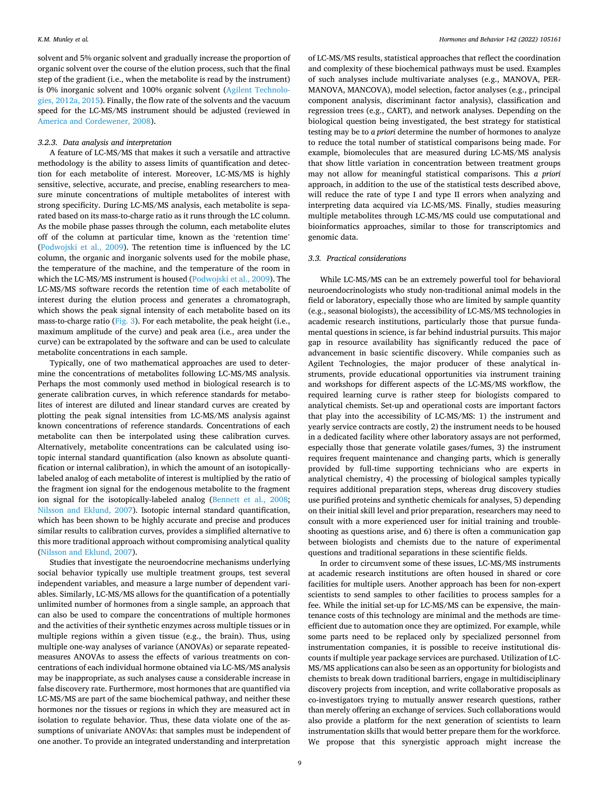solvent and 5% organic solvent and gradually increase the proportion of organic solvent over the course of the elution process, such that the final step of the gradient (i.e., when the metabolite is read by the instrument) is 0% inorganic solvent and 100% organic solvent [\(Agilent Technolo](#page-13-0)[gies, 2012a, 2015](#page-13-0)). Finally, the flow rate of the solvents and the vacuum speed for the LC-MS/MS instrument should be adjusted (reviewed in [America and Cordewener, 2008\)](#page-11-0).

#### *3.2.3. Data analysis and interpretation*

A feature of LC-MS/MS that makes it such a versatile and attractive methodology is the ability to assess limits of quantification and detection for each metabolite of interest. Moreover, LC-MS/MS is highly sensitive, selective, accurate, and precise, enabling researchers to measure minute concentrations of multiple metabolites of interest with strong specificity. During LC-MS/MS analysis, each metabolite is separated based on its mass-to-charge ratio as it runs through the LC column. As the mobile phase passes through the column, each metabolite elutes off of the column at particular time, known as the 'retention time' ([Podwojski et al., 2009\)](#page-12-0). The retention time is influenced by the LC column, the organic and inorganic solvents used for the mobile phase, the temperature of the machine, and the temperature of the room in which the LC-MS/MS instrument is housed [\(Podwojski et al., 2009](#page-12-0)). The LC-MS/MS software records the retention time of each metabolite of interest during the elution process and generates a chromatograph, which shows the peak signal intensity of each metabolite based on its mass-to-charge ratio [\(Fig. 3](#page-6-0)). For each metabolite, the peak height (i.e., maximum amplitude of the curve) and peak area (i.e., area under the curve) can be extrapolated by the software and can be used to calculate metabolite concentrations in each sample.

Typically, one of two mathematical approaches are used to determine the concentrations of metabolites following LC-MS/MS analysis. Perhaps the most commonly used method in biological research is to generate calibration curves, in which reference standards for metabolites of interest are diluted and linear standard curves are created by plotting the peak signal intensities from LC-MS/MS analysis against known concentrations of reference standards. Concentrations of each metabolite can then be interpolated using these calibration curves. Alternatively, metabolite concentrations can be calculated using isotopic internal standard quantification (also known as absolute quantification or internal calibration), in which the amount of an isotopicallylabeled analog of each metabolite of interest is multiplied by the ratio of the fragment ion signal for the endogenous metabolite to the fragment ion signal for the isotopically-labeled analog [\(Bennett et al., 2008](#page-11-0); [Nilsson and Eklund, 2007\)](#page-12-0). Isotopic internal standard quantification, which has been shown to be highly accurate and precise and produces similar results to calibration curves, provides a simplified alternative to this more traditional approach without compromising analytical quality ([Nilsson and Eklund, 2007\)](#page-12-0).

Studies that investigate the neuroendocrine mechanisms underlying social behavior typically use multiple treatment groups, test several independent variables, and measure a large number of dependent variables. Similarly, LC-MS/MS allows for the quantification of a potentially unlimited number of hormones from a single sample, an approach that can also be used to compare the concentrations of multiple hormones and the activities of their synthetic enzymes across multiple tissues or in multiple regions within a given tissue (e.g., the brain). Thus, using multiple one-way analyses of variance (ANOVAs) or separate repeatedmeasures ANOVAs to assess the effects of various treatments on concentrations of each individual hormone obtained via LC-MS/MS analysis may be inappropriate, as such analyses cause a considerable increase in false discovery rate. Furthermore, most hormones that are quantified via LC-MS/MS are part of the same biochemical pathway, and neither these hormones nor the tissues or regions in which they are measured act in isolation to regulate behavior. Thus, these data violate one of the assumptions of univariate ANOVAs: that samples must be independent of one another. To provide an integrated understanding and interpretation

of LC-MS/MS results, statistical approaches that reflect the coordination and complexity of these biochemical pathways must be used. Examples of such analyses include multivariate analyses (e.g., MANOVA, PER-MANOVA, MANCOVA), model selection, factor analyses (e.g., principal component analysis, discriminant factor analysis), classification and regression trees (e.g., CART), and network analyses. Depending on the biological question being investigated, the best strategy for statistical testing may be to *a priori* determine the number of hormones to analyze to reduce the total number of statistical comparisons being made. For example, biomolecules that are measured during LC-MS/MS analysis that show little variation in concentration between treatment groups may not allow for meaningful statistical comparisons. This *a priori*  approach, in addition to the use of the statistical tests described above, will reduce the rate of type I and type II errors when analyzing and interpreting data acquired via LC-MS/MS. Finally, studies measuring multiple metabolites through LC-MS/MS could use computational and bioinformatics approaches, similar to those for transcriptomics and genomic data.

### *3.3. Practical considerations*

While LC-MS/MS can be an extremely powerful tool for behavioral neuroendocrinologists who study non-traditional animal models in the field or laboratory, especially those who are limited by sample quantity (e.g., seasonal biologists), the accessibility of LC-MS/MS technologies in academic research institutions, particularly those that pursue fundamental questions in science, is far behind industrial pursuits. This major gap in resource availability has significantly reduced the pace of advancement in basic scientific discovery. While companies such as Agilent Technologies, the major producer of these analytical instruments, provide educational opportunities via instrument training and workshops for different aspects of the LC-MS/MS workflow, the required learning curve is rather steep for biologists compared to analytical chemists. Set-up and operational costs are important factors that play into the accessibility of LC-MS/MS: 1) the instrument and yearly service contracts are costly, 2) the instrument needs to be housed in a dedicated facility where other laboratory assays are not performed, especially those that generate volatile gases/fumes, 3) the instrument requires frequent maintenance and changing parts, which is generally provided by full-time supporting technicians who are experts in analytical chemistry, 4) the processing of biological samples typically requires additional preparation steps, whereas drug discovery studies use purified proteins and synthetic chemicals for analyses, 5) depending on their initial skill level and prior preparation, researchers may need to consult with a more experienced user for initial training and troubleshooting as questions arise, and 6) there is often a communication gap between biologists and chemists due to the nature of experimental questions and traditional separations in these scientific fields.

In order to circumvent some of these issues, LC-MS/MS instruments at academic research institutions are often housed in shared or core facilities for multiple users. Another approach has been for non-expert scientists to send samples to other facilities to process samples for a fee. While the initial set-up for LC-MS/MS can be expensive, the maintenance costs of this technology are minimal and the methods are timeefficient due to automation once they are optimized. For example, while some parts need to be replaced only by specialized personnel from instrumentation companies, it is possible to receive institutional discounts if multiple year package services are purchased. Utilization of LC-MS/MS applications can also be seen as an opportunity for biologists and chemists to break down traditional barriers, engage in multidisciplinary discovery projects from inception, and write collaborative proposals as co-investigators trying to mutually answer research questions, rather than merely offering an exchange of services. Such collaborations would also provide a platform for the next generation of scientists to learn instrumentation skills that would better prepare them for the workforce. We propose that this synergistic approach might increase the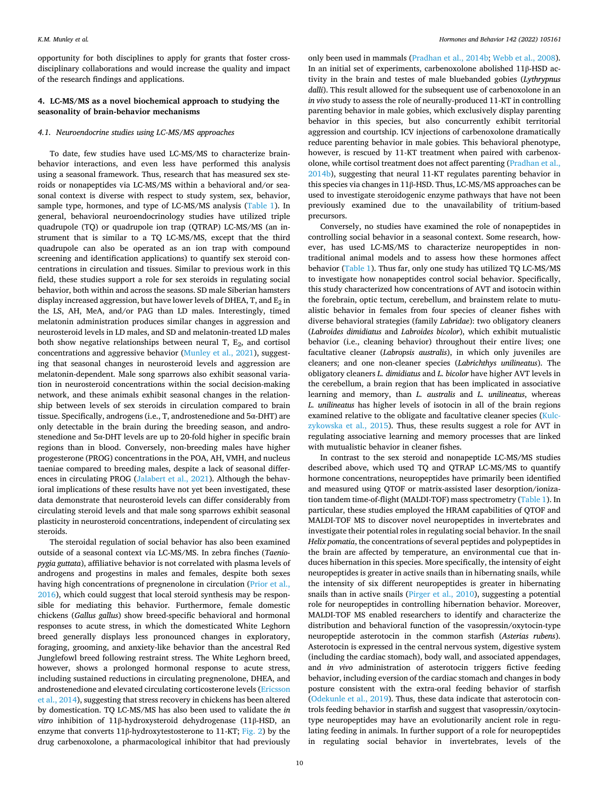opportunity for both disciplines to apply for grants that foster crossdisciplinary collaborations and would increase the quality and impact of the research findings and applications.

### **4. LC-MS/MS as a novel biochemical approach to studying the seasonality of brain-behavior mechanisms**

### *4.1. Neuroendocrine studies using LC-MS/MS approaches*

To date, few studies have used LC-MS/MS to characterize brainbehavior interactions, and even less have performed this analysis using a seasonal framework. Thus, research that has measured sex steroids or nonapeptides via LC-MS/MS within a behavioral and/or seasonal context is diverse with respect to study system, sex, behavior, sample type, hormones, and type of LC-MS/MS analysis [\(Table 1](#page-7-0)). In general, behavioral neuroendocrinology studies have utilized triple quadrupole (TQ) or quadrupole ion trap (QTRAP) LC-MS/MS (an instrument that is similar to a TQ LC-MS/MS, except that the third quadrupole can also be operated as an ion trap with compound screening and identification applications) to quantify sex steroid concentrations in circulation and tissues. Similar to previous work in this field, these studies support a role for sex steroids in regulating social behavior, both within and across the seasons. SD male Siberian hamsters display increased aggression, but have lower levels of DHEA, T, and  $E_2$  in the LS, AH, MeA, and/or PAG than LD males. Interestingly, timed melatonin administration produces similar changes in aggression and neurosteroid levels in LD males, and SD and melatonin-treated LD males both show negative relationships between neural T,  $E_2$ , and cortisol concentrations and aggressive behavior ([Munley et al., 2021\)](#page-12-0), suggesting that seasonal changes in neurosteroid levels and aggression are melatonin-dependent. Male song sparrows also exhibit seasonal variation in neurosteroid concentrations within the social decision-making network, and these animals exhibit seasonal changes in the relationship between levels of sex steroids in circulation compared to brain tissue. Specifically, androgens (i.e., T, androstenedione and 5α-DHT) are only detectable in the brain during the breeding season, and androstenedione and 5α-DHT levels are up to 20-fold higher in specific brain regions than in blood. Conversely, non-breeding males have higher progesterone (PROG) concentrations in the POA, AH, VMH, and nucleus taeniae compared to breeding males, despite a lack of seasonal differences in circulating PROG [\(Jalabert et al., 2021\)](#page-11-0). Although the behavioral implications of these results have not yet been investigated, these data demonstrate that neurosteroid levels can differ considerably from circulating steroid levels and that male song sparrows exhibit seasonal plasticity in neurosteroid concentrations, independent of circulating sex steroids.

The steroidal regulation of social behavior has also been examined outside of a seasonal context via LC-MS/MS. In zebra finches (*Taeniopygia guttata*), affiliative behavior is not correlated with plasma levels of androgens and progestins in males and females, despite both sexes having high concentrations of pregnenolone in circulation ([Prior et al.,](#page-12-0)  [2016\)](#page-12-0), which could suggest that local steroid synthesis may be responsible for mediating this behavior. Furthermore, female domestic chickens (*Gallus gallus*) show breed-specific behavioral and hormonal responses to acute stress, in which the domesticated White Leghorn breed generally displays less pronounced changes in exploratory, foraging, grooming, and anxiety-like behavior than the ancestral Red Junglefowl breed following restraint stress. The White Leghorn breed, however, shows a prolonged hormonal response to acute stress, including sustained reductions in circulating pregnenolone, DHEA, and androstenedione and elevated circulating corticosterone levels ([Ericsson](#page-11-0)  [et al., 2014\)](#page-11-0), suggesting that stress recovery in chickens has been altered by domestication. TQ LC-MS/MS has also been used to validate the *in vitro* inhibition of 11β-hydroxysteroid dehydrogenase (11β-HSD, an enzyme that converts 11β-hydroxytestosterone to 11-KT; [Fig. 2\)](#page-2-0) by the drug carbenoxolone, a pharmacological inhibitor that had previously

only been used in mammals ([Pradhan et al., 2014b;](#page-12-0) [Webb et al., 2008](#page-13-0)). In an initial set of experiments, carbenoxolone abolished 11β-HSD activity in the brain and testes of male bluebanded gobies (*Lythrypnus dalli*). This result allowed for the subsequent use of carbenoxolone in an *in vivo* study to assess the role of neurally-produced 11-KT in controlling parenting behavior in male gobies, which exclusively display parenting behavior in this species, but also concurrently exhibit territorial aggression and courtship. ICV injections of carbenoxolone dramatically reduce parenting behavior in male gobies. This behavioral phenotype, however, is rescued by 11-KT treatment when paired with carbenoxolone, while cortisol treatment does not affect parenting [\(Pradhan et al.,](#page-12-0)  [2014b\)](#page-12-0), suggesting that neural 11-KT regulates parenting behavior in this species via changes in 11β-HSD. Thus, LC-MS/MS approaches can be used to investigate steroidogenic enzyme pathways that have not been previously examined due to the unavailability of tritium-based precursors.

Conversely, no studies have examined the role of nonapeptides in controlling social behavior in a seasonal context. Some research, however, has used LC-MS/MS to characterize neuropeptides in nontraditional animal models and to assess how these hormones affect behavior ([Table 1](#page-7-0)). Thus far, only one study has utilized TQ LC-MS/MS to investigate how nonapeptides control social behavior. Specifically, this study characterized how concentrations of AVT and isotocin within the forebrain, optic tectum, cerebellum, and brainstem relate to mutualistic behavior in females from four species of cleaner fishes with diverse behavioral strategies (family *Labridae*): two obligatory cleaners (*Labroides dimidiatus* and *Labroides bicolor*), which exhibit mutualistic behavior (i.e., cleaning behavior) throughout their entire lives; one facultative cleaner (*Labropsis australis*), in which only juveniles are cleaners; and one non-cleaner species (*Labrichthys unilineatus*). The obligatory cleaners *L. dimidiatus* and *L. bicolor* have higher AVT levels in the cerebellum, a brain region that has been implicated in associative learning and memory, than *L. australis* and *L. unilineatus*, whereas *L. unilineatus* has higher levels of isotocin in all of the brain regions examined relative to the obligate and facultative cleaner species [\(Kulc](#page-12-0)[zykowska et al., 2015](#page-12-0)). Thus, these results suggest a role for AVT in regulating associative learning and memory processes that are linked with mutualistic behavior in cleaner fishes.

In contrast to the sex steroid and nonapeptide LC-MS/MS studies described above, which used TQ and QTRAP LC-MS/MS to quantify hormone concentrations, neuropeptides have primarily been identified and measured using QTOF or matrix-assisted laser desorption/ionization tandem time-of-flight (MALDI-TOF) mass spectrometry ([Table 1\)](#page-7-0). In particular, these studies employed the HRAM capabilities of QTOF and MALDI-TOF MS to discover novel neuropeptides in invertebrates and investigate their potential roles in regulating social behavior. In the snail *Helix pomatia*, the concentrations of several peptides and polypeptides in the brain are affected by temperature, an environmental cue that induces hibernation in this species. More specifically, the intensity of eight neuropeptides is greater in active snails than in hibernating snails, while the intensity of six different neuropeptides is greater in hibernating snails than in active snails ([Pirger et al., 2010\)](#page-12-0), suggesting a potential role for neuropeptides in controlling hibernation behavior. Moreover, MALDI-TOF MS enabled researchers to identify and characterize the distribution and behavioral function of the vasopressin/oxytocin-type neuropeptide asterotocin in the common starfish (*Asterias rubens*). Asterotocin is expressed in the central nervous system, digestive system (including the cardiac stomach), body wall, and associated appendages, and *in vivo* administration of asterotocin triggers fictive feeding behavior, including eversion of the cardiac stomach and changes in body posture consistent with the extra-oral feeding behavior of starfish ([Odekunle et al., 2019](#page-12-0)). Thus, these data indicate that asterotocin controls feeding behavior in starfish and suggest that vasopressin/oxytocintype neuropeptides may have an evolutionarily ancient role in regulating feeding in animals. In further support of a role for neuropeptides in regulating social behavior in invertebrates, levels of the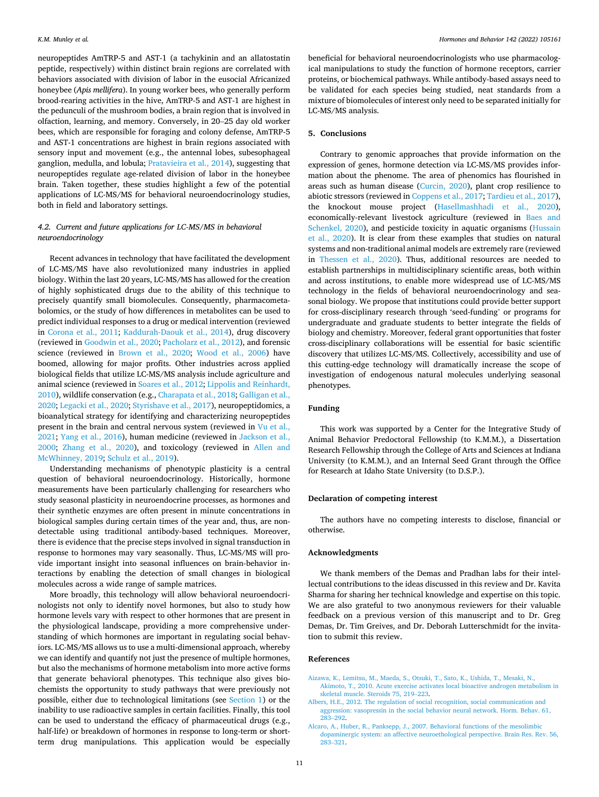<span id="page-10-0"></span>neuropeptides AmTRP-5 and AST-1 (a tachykinin and an allatostatin peptide, respectively) within distinct brain regions are correlated with behaviors associated with division of labor in the eusocial Africanized honeybee (*Apis mellifera*). In young worker bees, who generally perform brood-rearing activities in the hive, AmTRP-5 and AST-1 are highest in the pedunculi of the mushroom bodies, a brain region that is involved in olfaction, learning, and memory. Conversely, in 20–25 day old worker bees, which are responsible for foraging and colony defense, AmTRP-5 and AST-1 concentrations are highest in brain regions associated with sensory input and movement (e.g., the antennal lobes, subesophageal ganglion, medulla, and lobula; [Pratavieira et al., 2014](#page-12-0)), suggesting that neuropeptides regulate age-related division of labor in the honeybee brain. Taken together, these studies highlight a few of the potential applications of LC-MS/MS for behavioral neuroendocrinology studies, both in field and laboratory settings.

### *4.2. Current and future applications for LC-MS/MS in behavioral neuroendocrinology*

Recent advances in technology that have facilitated the development of LC-MS/MS have also revolutionized many industries in applied biology. Within the last 20 years, LC-MS/MS has allowed for the creation of highly sophisticated drugs due to the ability of this technique to precisely quantify small biomolecules. Consequently, pharmacometabolomics, or the study of how differences in metabolites can be used to predict individual responses to a drug or medical intervention (reviewed in [Corona et al., 2011;](#page-11-0) [Kaddurah-Daouk et al., 2014](#page-12-0)), drug discovery (reviewed in [Goodwin et al., 2020;](#page-11-0) [Pacholarz et al., 2012](#page-12-0)), and forensic science (reviewed in [Brown et al., 2020](#page-11-0); [Wood et al., 2006\)](#page-13-0) have boomed, allowing for major profits. Other industries across applied biological fields that utilize LC-MS/MS analysis include agriculture and animal science (reviewed in [Soares et al., 2012](#page-13-0); [Lippolis and Reinhardt,](#page-12-0)  [2010\)](#page-12-0), wildlife conservation (e.g., [Charapata et al., 2018](#page-11-0); [Galligan et al.,](#page-11-0)  [2020;](#page-11-0) [Legacki et al., 2020;](#page-12-0) [Styrishave et al., 2017\)](#page-13-0), neuropeptidomics, a bioanalytical strategy for identifying and characterizing neuropeptides present in the brain and central nervous system (reviewed in Vu et al., [2021; Yang et al., 2016](#page-13-0)), human medicine (reviewed in [Jackson et al.,](#page-11-0)  [2000;](#page-11-0) [Zhang et al., 2020](#page-13-0)), and toxicology (reviewed in [Allen and](#page-11-0)  [McWhinney, 2019](#page-11-0); [Schulz et al., 2019\)](#page-13-0).

Understanding mechanisms of phenotypic plasticity is a central question of behavioral neuroendocrinology. Historically, hormone measurements have been particularly challenging for researchers who study seasonal plasticity in neuroendocrine processes, as hormones and their synthetic enzymes are often present in minute concentrations in biological samples during certain times of the year and, thus, are nondetectable using traditional antibody-based techniques. Moreover, there is evidence that the precise steps involved in signal transduction in response to hormones may vary seasonally. Thus, LC-MS/MS will provide important insight into seasonal influences on brain-behavior interactions by enabling the detection of small changes in biological molecules across a wide range of sample matrices.

More broadly, this technology will allow behavioral neuroendocrinologists not only to identify novel hormones, but also to study how hormone levels vary with respect to other hormones that are present in the physiological landscape, providing a more comprehensive understanding of which hormones are important in regulating social behaviors. LC-MS/MS allows us to use a multi-dimensional approach, whereby we can identify and quantify not just the presence of multiple hormones, but also the mechanisms of hormone metabolism into more active forms that generate behavioral phenotypes. This technique also gives biochemists the opportunity to study pathways that were previously not possible, either due to technological limitations (see [Section 1](#page-0-0)) or the inability to use radioactive samples in certain facilities. Finally, this tool can be used to understand the efficacy of pharmaceutical drugs (e.g., half-life) or breakdown of hormones in response to long-term or shortterm drug manipulations. This application would be especially

beneficial for behavioral neuroendocrinologists who use pharmacological manipulations to study the function of hormone receptors, carrier proteins, or biochemical pathways. While antibody-based assays need to be validated for each species being studied, neat standards from a mixture of biomolecules of interest only need to be separated initially for LC-MS/MS analysis.

### **5. Conclusions**

Contrary to genomic approaches that provide information on the expression of genes, hormone detection via LC-MS/MS provides information about the phenome. The area of phenomics has flourished in areas such as human disease ([Curcin, 2020\)](#page-11-0), plant crop resilience to abiotic stressors (reviewed in [Coppens et al., 2017](#page-11-0); [Tardieu et al., 2017](#page-13-0)), the knockout mouse project [\(Hasellmashhadi et al., 2020](#page-11-0)), economically-relevant livestock agriculture (reviewed in [Baes and](#page-11-0)  [Schenkel, 2020](#page-11-0)), and pesticide toxicity in aquatic organisms ([Hussain](#page-11-0)  [et al., 2020](#page-11-0)). It is clear from these examples that studies on natural systems and non-traditional animal models are extremely rare (reviewed in [Thessen et al., 2020\)](#page-13-0). Thus, additional resources are needed to establish partnerships in multidisciplinary scientific areas, both within and across institutions, to enable more widespread use of LC-MS/MS technology in the fields of behavioral neuroendocrinology and seasonal biology. We propose that institutions could provide better support for cross-disciplinary research through 'seed-funding' or programs for undergraduate and graduate students to better integrate the fields of biology and chemistry. Moreover, federal grant opportunities that foster cross-disciplinary collaborations will be essential for basic scientific discovery that utilizes LC-MS/MS. Collectively, accessibility and use of this cutting-edge technology will dramatically increase the scope of investigation of endogenous natural molecules underlying seasonal phenotypes.

### **Funding**

This work was supported by a Center for the Integrative Study of Animal Behavior Predoctoral Fellowship (to K.M.M.), a Dissertation Research Fellowship through the College of Arts and Sciences at Indiana University (to K.M.M.), and an Internal Seed Grant through the Office for Research at Idaho State University (to D.S.P.).

### **Declaration of competing interest**

The authors have no competing interests to disclose, financial or otherwise.

### **Acknowledgments**

We thank members of the Demas and Pradhan labs for their intellectual contributions to the ideas discussed in this review and Dr. Kavita Sharma for sharing her technical knowledge and expertise on this topic. We are also grateful to two anonymous reviewers for their valuable feedback on a previous version of this manuscript and to Dr. Greg Demas, Dr. Tim Greives, and Dr. Deborah Lutterschmidt for the invitation to submit this review.

### **References**

- [Aizawa, K., Lemitsu, M., Maeda, S., Otsuki, T., Sato, K., Ushida, T., Mesaki, N.,](http://refhub.elsevier.com/S0018-506X(22)00055-1/rf202203170649541869)  [Akimoto, T., 2010. Acute exercise activates local bioactive androgen metabolism in](http://refhub.elsevier.com/S0018-506X(22)00055-1/rf202203170649541869)  [skeletal muscle. Steroids 75, 219](http://refhub.elsevier.com/S0018-506X(22)00055-1/rf202203170649541869)–223.
- [Albers, H.E., 2012. The regulation of social recognition, social communication and](http://refhub.elsevier.com/S0018-506X(22)00055-1/rf202203170703290168)  [aggression: vasopressin in the social behavior neural network. Horm. Behav. 61,](http://refhub.elsevier.com/S0018-506X(22)00055-1/rf202203170703290168)  283–[292](http://refhub.elsevier.com/S0018-506X(22)00055-1/rf202203170703290168).
- [Alcaro, A., Huber, R., Panksepp, J., 2007. Behavioral functions of the mesolimbic](http://refhub.elsevier.com/S0018-506X(22)00055-1/rf202203170703300455) [dopaminergic system: an affective neuroethological perspective. Brain Res. Rev. 56,](http://refhub.elsevier.com/S0018-506X(22)00055-1/rf202203170703300455)  283–[321](http://refhub.elsevier.com/S0018-506X(22)00055-1/rf202203170703300455).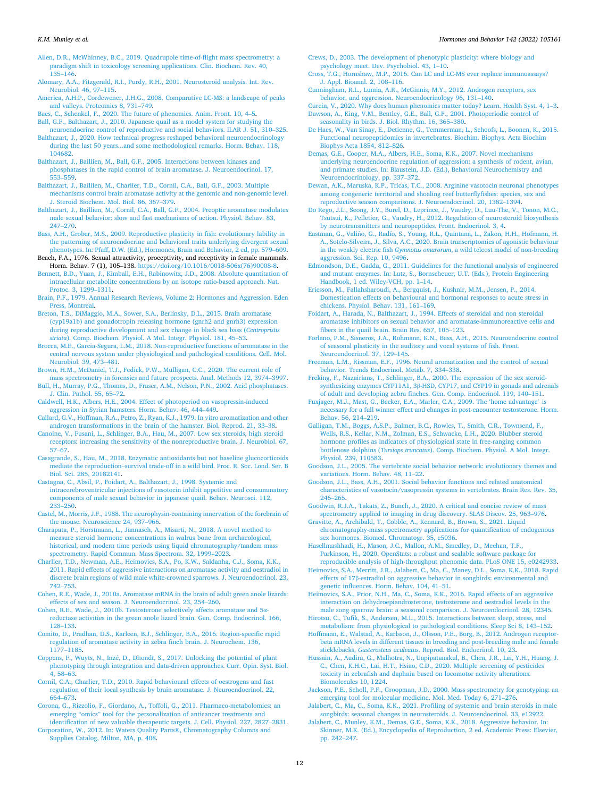<span id="page-11-0"></span>[Allen, D.R., McWhinney, B.C., 2019. Quadrupole time-of-flight mass spectrometry: a](http://refhub.elsevier.com/S0018-506X(22)00055-1/rf202203170650071553)  [paradigm shift in toxicology screening applications. Clin. Biochem. Rev. 40,](http://refhub.elsevier.com/S0018-506X(22)00055-1/rf202203170650071553) 135–[146](http://refhub.elsevier.com/S0018-506X(22)00055-1/rf202203170650071553).

[Alomary, A.A., Fitzgerald, R.I., Purdy, R.H., 2001. Neurosteroid analysis. Int. Rev.](http://refhub.elsevier.com/S0018-506X(22)00055-1/rf202203170703308475) [Neurobiol. 46, 97](http://refhub.elsevier.com/S0018-506X(22)00055-1/rf202203170703308475)–115.

[America, A.H.P., Cordewener, J.H.G., 2008. Comparative LC-MS: a landscape of peaks](http://refhub.elsevier.com/S0018-506X(22)00055-1/rf202203170703317185)  [and valleys. Proteomics 8, 731](http://refhub.elsevier.com/S0018-506X(22)00055-1/rf202203170703317185)–749.

[Baes, C., Schenkel, F., 2020. The future of phenomics. Anim. Front. 10, 4](http://refhub.elsevier.com/S0018-506X(22)00055-1/rf202203170650286880)–5. [Ball, G.F., Balthazart, J., 2010. Japanese quail as a model system for studying the](http://refhub.elsevier.com/S0018-506X(22)00055-1/rf202203170703327360)

[neuroendocrine control of reproductive and social behaviors. ILAR J. 51, 310](http://refhub.elsevier.com/S0018-506X(22)00055-1/rf202203170703327360)–325. [Balthazart, J., 2020. How technical progress reshaped behavioral neuroendocrinology](http://refhub.elsevier.com/S0018-506X(22)00055-1/rf202203170703392712)  [during the last 50 years...and some methodological remarks. Horm. Behav. 118,](http://refhub.elsevier.com/S0018-506X(22)00055-1/rf202203170703392712) [104682](http://refhub.elsevier.com/S0018-506X(22)00055-1/rf202203170703392712).

[Balthazart, J., Baillien, M., Ball, G.F., 2005. Interactions between kinases and](http://refhub.elsevier.com/S0018-506X(22)00055-1/rf202203170703413264)  [phosphatases in the rapid control of brain aromatase. J. Neuroendocrinol. 17,](http://refhub.elsevier.com/S0018-506X(22)00055-1/rf202203170703413264)  553–[559](http://refhub.elsevier.com/S0018-506X(22)00055-1/rf202203170703413264).

[Balthazart, J., Baillien, M., Charlier, T.D., Cornil, C.A., Ball, G.F., 2003. Multiple](http://refhub.elsevier.com/S0018-506X(22)00055-1/rf202203170703430745)  [mechanisms control brain aromatase activity at the genomic and non-genomic level.](http://refhub.elsevier.com/S0018-506X(22)00055-1/rf202203170703430745)  [J. Steroid Biochem. Mol. Biol. 86, 367](http://refhub.elsevier.com/S0018-506X(22)00055-1/rf202203170703430745)–379.

[Balthazart, J., Baillien, M., Cornil, C.A., Ball, G.F., 2004. Preoptic aromatase modulates](http://refhub.elsevier.com/S0018-506X(22)00055-1/rf202203170703438207)  [male sexual behavior: slow and fast mechanisms of action. Physiol. Behav. 83,](http://refhub.elsevier.com/S0018-506X(22)00055-1/rf202203170703438207)  247–[270](http://refhub.elsevier.com/S0018-506X(22)00055-1/rf202203170703438207).

[Bass, A.H., Grober, M.S., 2009. Reproductive plasticity in fish: evolutionary lability in](http://refhub.elsevier.com/S0018-506X(22)00055-1/rf202203170701530311) [the patterning of neuroendocrine and behavioral traits underlying divergent sexual](http://refhub.elsevier.com/S0018-506X(22)00055-1/rf202203170701530311)  [phenotypes. In: Pfaff, D.W. \(Ed.\), Hormones, Brain and Behavior, 2 ed, pp. 579](http://refhub.elsevier.com/S0018-506X(22)00055-1/rf202203170701530311)–609.

Beach, F.A., 1976. Sexual attractivity, proceptivity, and receptivity in female mammals. Horm. Behav. 7 (1), 105–138. [https://doi.org/10.1016/0018-506x\(76\)90008-8](https://doi.org/10.1016/0018-506x(76)90008-8).

[Bennett, B.D., Yuan, J., Kimball, E.H., Rabinowitz, J.D., 2008. Absolute quantitation of](http://refhub.elsevier.com/S0018-506X(22)00055-1/rf202203170706456844) [intracellular metabolite concentrations by an isotope ratio-based approach. Nat.](http://refhub.elsevier.com/S0018-506X(22)00055-1/rf202203170706456844)  [Protoc. 3, 1299](http://refhub.elsevier.com/S0018-506X(22)00055-1/rf202203170706456844)–1311.

[Brain, P.F., 1979. Annual Research Reviews, Volume 2: Hormones and Aggression. Eden](http://refhub.elsevier.com/S0018-506X(22)00055-1/rf202203170702025640)  [Press, Montreal](http://refhub.elsevier.com/S0018-506X(22)00055-1/rf202203170702025640).

[Breton, T.S., DiMaggio, M.A., Sower, S.A., Berlinsky, D.L., 2015. Brain aromatase](http://refhub.elsevier.com/S0018-506X(22)00055-1/rf202203170653428110)  [\(cyp19a1b\) and gonadotropin releasing hormone \(gnrh2 and gnrh3\) expression](http://refhub.elsevier.com/S0018-506X(22)00055-1/rf202203170653428110) [during reproductive development and sex change in black sea bass \(](http://refhub.elsevier.com/S0018-506X(22)00055-1/rf202203170653428110)*Centropristis striata*[\). Comp. Biochem. Physiol. A Mol. Integr. Physiol. 181, 45](http://refhub.elsevier.com/S0018-506X(22)00055-1/rf202203170653428110)–53.

[Brocca, M.E., Garcia-Segura, L.M., 2018. Non-reproductive functions of aromatase in the](http://refhub.elsevier.com/S0018-506X(22)00055-1/rf202203170653452653)  [central nervous system under physiological and pathological conditions. Cell. Mol.](http://refhub.elsevier.com/S0018-506X(22)00055-1/rf202203170653452653) [Neurobiol. 39, 473](http://refhub.elsevier.com/S0018-506X(22)00055-1/rf202203170653452653)–481.

[Brown, H.M., McDaniel, T.J., Fedick, P.W., Mulligan, C.C., 2020. The current role of](http://refhub.elsevier.com/S0018-506X(22)00055-1/rf202203170706481988) [mass spectrometry in forensics and future prospects. Anal. Methods 12, 3974](http://refhub.elsevier.com/S0018-506X(22)00055-1/rf202203170706481988)–3997.

[Bull, H., Murray, P.G., Thomas, D., Fraser, A.M., Nelson, P.N., 2002. Acid phosphatases.](http://refhub.elsevier.com/S0018-506X(22)00055-1/rf202203170653465759)  [J. Clin. Pathol. 55, 65](http://refhub.elsevier.com/S0018-506X(22)00055-1/rf202203170653465759)–72.

[Caldwell, H.K., Albers, H.E., 2004. Effect of photoperiod on vasopressin-induced](http://refhub.elsevier.com/S0018-506X(22)00055-1/rf202203170703460470) [aggression in Syrian hamsters. Horm. Behav. 46, 444](http://refhub.elsevier.com/S0018-506X(22)00055-1/rf202203170703460470)–449.

[Callard, G.V., Hoffman, R.A., Petro, Z., Ryan, K.J., 1979. In vitro aromatization and other](http://refhub.elsevier.com/S0018-506X(22)00055-1/rf202203170703471068)  [androgen transformations in the brain of the hamster. Biol. Reprod. 21, 33](http://refhub.elsevier.com/S0018-506X(22)00055-1/rf202203170703471068)–38.

[Canoine, V., Fusani, L., Schlinger, B.A., Hau, M., 2007. Low sex steroids, high steroid](http://refhub.elsevier.com/S0018-506X(22)00055-1/rf202203170653475162)  [receptors: increasing the sensitivity of the nonreproductive brain. J. Neurobiol. 67,](http://refhub.elsevier.com/S0018-506X(22)00055-1/rf202203170653475162)  57–[67](http://refhub.elsevier.com/S0018-506X(22)00055-1/rf202203170653475162).

[Casagrande, S., Hau, M., 2018. Enzymatic antioxidants but not baseline glucocorticoids](http://refhub.elsevier.com/S0018-506X(22)00055-1/rf202203170653487712)  mediate the reproduction–[survival trade-off in a wild bird. Proc. R. Soc. Lond. Ser. B](http://refhub.elsevier.com/S0018-506X(22)00055-1/rf202203170653487712)  [Biol. Sci. 285, 20182141](http://refhub.elsevier.com/S0018-506X(22)00055-1/rf202203170653487712).

[Castagna, C., Absil, P., Foidart, A., Balthazart, J., 1998. Systemic and](http://refhub.elsevier.com/S0018-506X(22)00055-1/rf202203170703475231) 

[intracerebroventricular injections of vasotocin inhibit appetitive and consummatory](http://refhub.elsevier.com/S0018-506X(22)00055-1/rf202203170703475231)  [components of male sexual behavior in japanese quail. Behav. Neurosci. 112,](http://refhub.elsevier.com/S0018-506X(22)00055-1/rf202203170703475231) 233–[250](http://refhub.elsevier.com/S0018-506X(22)00055-1/rf202203170703475231).

[Castel, M., Morris, J.F., 1988. The neurophysin-containing innervation of the forebrain of](http://refhub.elsevier.com/S0018-506X(22)00055-1/rf202203170703485266)  [the mouse. Neuroscience 24, 937](http://refhub.elsevier.com/S0018-506X(22)00055-1/rf202203170703485266)–966.

[Charapata, P., Horstmann, L., Jannasch, A., Misarti, N., 2018. A novel method to](http://refhub.elsevier.com/S0018-506X(22)00055-1/rf202203170703491941)  [measure steroid hormone concentrations in walrus bone from archaeological,](http://refhub.elsevier.com/S0018-506X(22)00055-1/rf202203170703491941) [historical, and modern time periods using liquid chromatography/tandem mass](http://refhub.elsevier.com/S0018-506X(22)00055-1/rf202203170703491941) [spectrometry. Rapid Commun. Mass Spectrom. 32, 1999](http://refhub.elsevier.com/S0018-506X(22)00055-1/rf202203170703491941)–2023.

[Charlier, T.D., Newman, A.E., Heimovics, S.A., Po, K.W., Saldanha, C.J., Soma, K.K.,](http://refhub.elsevier.com/S0018-506X(22)00055-1/rf202203170653497270)  [2011. Rapid effects of aggressive interactions on aromatase activity and oestradiol in](http://refhub.elsevier.com/S0018-506X(22)00055-1/rf202203170653497270)  [discrete brain regions of wild male white-crowned sparrows. J. Neuroendocrinol. 23,](http://refhub.elsevier.com/S0018-506X(22)00055-1/rf202203170653497270)  742–[753](http://refhub.elsevier.com/S0018-506X(22)00055-1/rf202203170653497270).

[Cohen, R.E., Wade, J., 2010a. Aromatase mRNA in the brain of adult green anole lizards:](http://refhub.elsevier.com/S0018-506X(22)00055-1/rf202203170653505753)  [effects of sex and season. J. Neuroendocrinol. 23, 254](http://refhub.elsevier.com/S0018-506X(22)00055-1/rf202203170653505753)–260.

[Cohen, R.E., Wade, J., 2010b. Testosterone selectively affects aromatase and 5](http://refhub.elsevier.com/S0018-506X(22)00055-1/rf202203170703500558)α[reductase activities in the green anole lizard brain. Gen. Comp. Endocrinol. 166,](http://refhub.elsevier.com/S0018-506X(22)00055-1/rf202203170703500558)  128–[133](http://refhub.elsevier.com/S0018-506X(22)00055-1/rf202203170703500558).

[Comito, D., Pradhan, D.S., Karleen, B.J., Schlinger, B.A., 2016. Region-specific rapid](http://refhub.elsevier.com/S0018-506X(22)00055-1/rf202203170703503215)  [regulation of aromatase activity in zebra finch brain. J. Neurochem. 136,](http://refhub.elsevier.com/S0018-506X(22)00055-1/rf202203170703503215)  [1177](http://refhub.elsevier.com/S0018-506X(22)00055-1/rf202203170703503215)–1185.

Coppens, F., Wuyts, N., Inzé, D., Dhondt, S., 2017. Unlocking the potential of plant [phenotyping through integration and data-driven approaches. Curr. Opin. Syst. Biol.](http://refhub.elsevier.com/S0018-506X(22)00055-1/rf202203170703511500)  [4, 58](http://refhub.elsevier.com/S0018-506X(22)00055-1/rf202203170703511500)–63.

[Cornil, C.A., Charlier, T.D., 2010. Rapid behavioural effects of oestrogens and fast](http://refhub.elsevier.com/S0018-506X(22)00055-1/rf202203170703517673) [regulation of their local synthesis by brain aromatase. J. Neuroendocrinol. 22,](http://refhub.elsevier.com/S0018-506X(22)00055-1/rf202203170703517673) 664–[673](http://refhub.elsevier.com/S0018-506X(22)00055-1/rf202203170703517673).

[Corona, G., Rizzolio, F., Giordano, A., Toffoli, G., 2011. Pharmaco-metabolomics: an](http://refhub.elsevier.com/S0018-506X(22)00055-1/rf202203170706124451) emerging "omics" [tool for the personalization of anticancer treatments and](http://refhub.elsevier.com/S0018-506X(22)00055-1/rf202203170706124451)  [identification of new valuable therapeutic targets. J. Cell. Physiol. 227, 2827](http://refhub.elsevier.com/S0018-506X(22)00055-1/rf202203170706124451)–2831.

[Corporation, W., 2012. In: Waters Quality Parts](http://refhub.elsevier.com/S0018-506X(22)00055-1/rf202203170706127934)®, Chromatography Columns and [Supplies Catalog, Milton, MA, p. 408](http://refhub.elsevier.com/S0018-506X(22)00055-1/rf202203170706127934).

[Crews, D., 2003. The development of phenotypic plasticity: where biology and](http://refhub.elsevier.com/S0018-506X(22)00055-1/rf202203170703533142) [psychology meet. Dev. Psychobiol. 43, 1](http://refhub.elsevier.com/S0018-506X(22)00055-1/rf202203170703533142)–10.

[Cross, T.G., Hornshaw, M.P., 2016. Can LC and LC-MS ever replace immunoassays?](http://refhub.elsevier.com/S0018-506X(22)00055-1/rf202203170706494140) [J. Appl. Bioanal. 2, 108](http://refhub.elsevier.com/S0018-506X(22)00055-1/rf202203170706494140)–116.

[Cunningham, R.L., Lumia, A.R., McGinnis, M.Y., 2012. Androgen receptors, sex](http://refhub.elsevier.com/S0018-506X(22)00055-1/rf202203170706493984) [behavior, and aggression. Neuroendocrinology 96, 131](http://refhub.elsevier.com/S0018-506X(22)00055-1/rf202203170706493984)–140.

[Curcin, V., 2020. Why does human phenomics matter today? Learn. Health Syst. 4, 1](http://refhub.elsevier.com/S0018-506X(22)00055-1/rf202203170706453719)–3. [Dawson, A., King, V.M., Bentley, G.E., Ball, G.F., 2001. Photoperiodic control of](http://refhub.elsevier.com/S0018-506X(22)00055-1/rf202203170703556202)  [seasonality in birds. J. Biol. Rhythm. 16, 365](http://refhub.elsevier.com/S0018-506X(22)00055-1/rf202203170703556202)–380.

[De Haes, W., Van Sinay, E., Detienne, G., Temmerman, L., Schoofs, L., Boonen, K., 2015.](http://refhub.elsevier.com/S0018-506X(22)00055-1/rf202203170654183620)  [Functional neuropeptidomics in invertebrates. Biochim. Biophys. Acta Biochim](http://refhub.elsevier.com/S0018-506X(22)00055-1/rf202203170654183620) [Biophys Acta 1854, 812](http://refhub.elsevier.com/S0018-506X(22)00055-1/rf202203170654183620)–826.

[Demas, G.E., Cooper, M.A., Albers, H.E., Soma, K.K., 2007. Novel mechanisms](http://refhub.elsevier.com/S0018-506X(22)00055-1/rf202203170702153998) [underlying neuroendocrine regulation of aggression: a synthesis of rodent, avian,](http://refhub.elsevier.com/S0018-506X(22)00055-1/rf202203170702153998) [and primate studies. In: Blaustein, J.D. \(Ed.\), Behavioral Neurochemistry and](http://refhub.elsevier.com/S0018-506X(22)00055-1/rf202203170702153998) [Neuroendocrinology, pp. 337](http://refhub.elsevier.com/S0018-506X(22)00055-1/rf202203170702153998)–372.

[Dewan, A.K., Maruska, K.P., Tricas, T.C., 2008. Arginine vasotocin neuronal phenotypes](http://refhub.elsevier.com/S0018-506X(22)00055-1/rf202203170703566277)  [among congeneric territorial and shoaling reef butterflyfishes: species, sex and](http://refhub.elsevier.com/S0018-506X(22)00055-1/rf202203170703566277)  [reproductive season comparisons. J. Neuroendocrinol. 20, 1382](http://refhub.elsevier.com/S0018-506X(22)00055-1/rf202203170703566277)–1394.

[Do Rego, J.L., Seong, J.Y., Burel, D., Leprince, J., Vaudry, D., Luu-The, V., Tonon, M.C.,](http://refhub.elsevier.com/S0018-506X(22)00055-1/rf202203170654216785)  [Tsutsui, K., Pelletier, G., Vaudry, H., 2012. Regulation of neurosteroid biosynthesis](http://refhub.elsevier.com/S0018-506X(22)00055-1/rf202203170654216785)  [by neurotransmitters and neuropeptides. Front. Endocrinol. 3, 4](http://refhub.elsevier.com/S0018-506X(22)00055-1/rf202203170654216785).

Eastman, G., Valiño, G., Radío, S., Young, R.L., Quintana, L., Zakon, H.H., Hofmann, H. [A., Sotelo-Silveira, J., Silva, A.C., 2020. Brain transcriptomics of agonistic behaviour](http://refhub.elsevier.com/S0018-506X(22)00055-1/rf202203170654214754)  in the weakly electric fish *Gymnotus omarorum*[, a wild teleost model of non-breeding](http://refhub.elsevier.com/S0018-506X(22)00055-1/rf202203170654214754)  [aggression. Sci. Rep. 10, 9496](http://refhub.elsevier.com/S0018-506X(22)00055-1/rf202203170654214754).

[Edmondson, D.E., Gadda, G., 2011. Guidelines for the functional analysis of engineered](http://refhub.elsevier.com/S0018-506X(22)00055-1/rf202203170654372466)  [and mutant enzymes. In: Lutz, S., Bornscheuer, U.T. \(Eds.\), Protein Engineering](http://refhub.elsevier.com/S0018-506X(22)00055-1/rf202203170654372466)  [Handbook, 1 ed. Wiley-VCH, pp. 1](http://refhub.elsevier.com/S0018-506X(22)00055-1/rf202203170654372466)–14.

[Ericsson, M., Fallahsharoudi, A., Bergquist, J., Kushnir, M.M., Jensen, P., 2014.](http://refhub.elsevier.com/S0018-506X(22)00055-1/rf202203170654389932) [Domestication effects on behavioural and hormonal responses to acute stress in](http://refhub.elsevier.com/S0018-506X(22)00055-1/rf202203170654389932) [chickens. Physiol. Behav. 131, 161](http://refhub.elsevier.com/S0018-506X(22)00055-1/rf202203170654389932)–169.

[Foidart, A., Harada, N., Balthazart, J., 1994. Effects of steroidal and non steroidal](http://refhub.elsevier.com/S0018-506X(22)00055-1/rf202203170703573621) [aromatase inhibitors on sexual behavior and aromatase-immunoreactive cells and](http://refhub.elsevier.com/S0018-506X(22)00055-1/rf202203170703573621)  [fibers in the quail brain. Brain Res. 657, 105](http://refhub.elsevier.com/S0018-506X(22)00055-1/rf202203170703573621)–123.

[Forlano, P.M., Sisneros, J.A., Rohmann, K.N., Bass, A.H., 2015. Neuroendocrine control](http://refhub.elsevier.com/S0018-506X(22)00055-1/rf202203170706499085)  [of seasonal plasticity in the auditory and vocal systems of fish. Front.](http://refhub.elsevier.com/S0018-506X(22)00055-1/rf202203170706499085)  [Neuroendocrinol. 37, 129](http://refhub.elsevier.com/S0018-506X(22)00055-1/rf202203170706499085)–145.

[Freeman, L.M., Rissman, E.F., 1996. Neural aromatization and the control of sexual](http://refhub.elsevier.com/S0018-506X(22)00055-1/rf202203170706524601) [behavior. Trends Endocrinol. Metab. 7, 334](http://refhub.elsevier.com/S0018-506X(22)00055-1/rf202203170706524601)–338.

[Freking, F., Nazairians, T., Schlinger, B.A., 2000. The expression of the sex steroid](http://refhub.elsevier.com/S0018-506X(22)00055-1/rf202203170703588204)synthesizing enzymes CYP11A1, 3β[-HSD, CYP17, and CYP19 in gonads and adrenals](http://refhub.elsevier.com/S0018-506X(22)00055-1/rf202203170703588204)  [of adult and developing zebra finches. Gen. Comp. Endocrinol. 119, 140](http://refhub.elsevier.com/S0018-506X(22)00055-1/rf202203170703588204)–151.

[Fuxjager, M.J., Mast, G., Becker, E.A., Marler, C.A., 2009. The 'home advantage](http://refhub.elsevier.com/S0018-506X(22)00055-1/rf202203170703599766)' is [necessary for a full winner effect and changes in post-encounter testosterone. Horm.](http://refhub.elsevier.com/S0018-506X(22)00055-1/rf202203170703599766)  [Behav. 56, 214](http://refhub.elsevier.com/S0018-506X(22)00055-1/rf202203170703599766)–219.

[Galligan, T.M., Boggs, A.S.P., Balmer, B.C., Rowles, T., Smith, C.R., Townsend, F.,](http://refhub.elsevier.com/S0018-506X(22)00055-1/rf202203170706535147)  [Wells, R.S., Kellar, N.M., Zolman, E.S., Schwacke, L.H., 2020. Blubber steroid](http://refhub.elsevier.com/S0018-506X(22)00055-1/rf202203170706535147)  [hormone profiles as indicators of physiological state in free-ranging common](http://refhub.elsevier.com/S0018-506X(22)00055-1/rf202203170706535147) bottlenose dolphins (*Tursiops truncatus*[\). Comp. Biochem. Physiol. A Mol. Integr.](http://refhub.elsevier.com/S0018-506X(22)00055-1/rf202203170706535147) [Physiol. 239, 110583](http://refhub.elsevier.com/S0018-506X(22)00055-1/rf202203170706535147).

[Goodson, J.L., 2005. The vertebrate social behavior network: evolutionary themes and](http://refhub.elsevier.com/S0018-506X(22)00055-1/rf202203170704009353)  [variations. Horm. Behav. 48, 11](http://refhub.elsevier.com/S0018-506X(22)00055-1/rf202203170704009353)–22.

[Goodson, J.L., Bass, A.H., 2001. Social behavior functions and related anatomical](http://refhub.elsevier.com/S0018-506X(22)00055-1/rf202203170706582759) [characteristics of vasotocin/vasopressin systems in vertebrates. Brain Res. Rev. 35,](http://refhub.elsevier.com/S0018-506X(22)00055-1/rf202203170706582759)  246–[265](http://refhub.elsevier.com/S0018-506X(22)00055-1/rf202203170706582759).

[Goodwin, R.J.A., Takats, Z., Bunch, J., 2020. A critical and concise review of mass](http://refhub.elsevier.com/S0018-506X(22)00055-1/rf202203170654404344) [spectrometry applied to imaging in drug discovery. SLAS Discov. 25, 963](http://refhub.elsevier.com/S0018-506X(22)00055-1/rf202203170654404344)–976.

[Gravitte, A., Archibald, T., Cobble, A., Kennard, B., Brown, S., 2021. Liquid](http://refhub.elsevier.com/S0018-506X(22)00055-1/rf202203170654484596)  [chromatography-mass spectrometry applications for quantification of endogenous](http://refhub.elsevier.com/S0018-506X(22)00055-1/rf202203170654484596) [sex hormones. Biomed. Chromatogr. 35, e5036.](http://refhub.elsevier.com/S0018-506X(22)00055-1/rf202203170654484596)

[Hasellmashhadi, H., Mason, J.C., Mallon, A.M., Smedley, D., Meehan, T.F.,](http://refhub.elsevier.com/S0018-506X(22)00055-1/rf202203170654492491) [Parkinson, H., 2020. OpenStats: a robust and scalable software package for](http://refhub.elsevier.com/S0018-506X(22)00055-1/rf202203170654492491)

[reproducible analysis of high-throughput phenomic data. PLoS ONE 15, e0242933.](http://refhub.elsevier.com/S0018-506X(22)00055-1/rf202203170654492491) [Heimovics, S.A., Merritt, J.R., Jalabert, C., Ma, C., Maney, D.L., Soma, K.K., 2018. Rapid](http://refhub.elsevier.com/S0018-506X(22)00055-1/rf202203170704022947)  effects of 17β[-estradiol on aggressive behavior in songbirds: environmental and](http://refhub.elsevier.com/S0018-506X(22)00055-1/rf202203170704022947) [genetic influences. Horm. Behav. 104, 41](http://refhub.elsevier.com/S0018-506X(22)00055-1/rf202203170704022947)–51.

[Heimovics, S.A., Prior, N.H., Ma, C., Soma, K.K., 2016. Rapid effects of an aggressive](http://refhub.elsevier.com/S0018-506X(22)00055-1/rf202203170654500460) [interaction on dehydroepiandrosterone, testosterone and oestradiol levels in the](http://refhub.elsevier.com/S0018-506X(22)00055-1/rf202203170654500460)  [male song sparrow brain: a seasonal comparison. J. Neuroendocrinol. 28, 12345](http://refhub.elsevier.com/S0018-506X(22)00055-1/rf202203170654500460).

[Hirotsu, C., Tufik, S., Andersen, M.L., 2015. Interactions between sleep, stress, and](http://refhub.elsevier.com/S0018-506X(22)00055-1/rf202203170704023885) [metabolism: from physiological to pathological conditions. Sleep Sci 8, 143](http://refhub.elsevier.com/S0018-506X(22)00055-1/rf202203170704023885)–152.

[Hoffmann, E., Walstad, A., Karlsson, J., Olsson, P.E., Borg, B., 2012. Androgen receptor](http://refhub.elsevier.com/S0018-506X(22)00055-1/rf202203170655046834)[beta mRNA levels in different tissues in breeding and post-breeding male and female](http://refhub.elsevier.com/S0018-506X(22)00055-1/rf202203170655046834)  sticklebacks, *Gasterosteus aculeatus*[. Reprod. Biol. Endocrinol. 10, 23.](http://refhub.elsevier.com/S0018-506X(22)00055-1/rf202203170655046834)

[Hussain, A., Audira, G., Malhotra, N., Uapipatanakul, B., Chen, J.R., Lai, Y.H., Huang, J.](http://refhub.elsevier.com/S0018-506X(22)00055-1/rf202203170715152581)  [C., Chen, K.H.C., Lai, H.T., Hsiao, C.D., 2020. Multiple screening of pesticides](http://refhub.elsevier.com/S0018-506X(22)00055-1/rf202203170715152581) [toxicity in zebrafish and daphnia based on locomotor activity alterations.](http://refhub.elsevier.com/S0018-506X(22)00055-1/rf202203170715152581) [Biomolecules 10, 1224](http://refhub.elsevier.com/S0018-506X(22)00055-1/rf202203170715152581).

[Jackson, P.E., Scholl, P.F., Groopman, J.D., 2000. Mass spectrometry for genotyping: an](http://refhub.elsevier.com/S0018-506X(22)00055-1/rf202203170706582134)  [emerging tool for molecular medicine. Mol. Med. Today 6, 271](http://refhub.elsevier.com/S0018-506X(22)00055-1/rf202203170706582134)–276.

[Jalabert, C., Ma, C., Soma, K.K., 2021. Profiling of systemic and brain steroids in male](http://refhub.elsevier.com/S0018-506X(22)00055-1/rf202203170655060534)  [songbirds: seasonal changes in neurosteroids. J. Neuroendocrinol. 33, e12922](http://refhub.elsevier.com/S0018-506X(22)00055-1/rf202203170655060534).

[Jalabert, C., Munley, K.M., Demas, G.E., Soma, K.K., 2018. Aggressive behavior. In:](http://refhub.elsevier.com/S0018-506X(22)00055-1/rf202203170655252280) [Skinner, M.K. \(Ed.\), Encyclopedia of Reproduction, 2 ed. Academic Press: Elsevier,](http://refhub.elsevier.com/S0018-506X(22)00055-1/rf202203170655252280)  [pp. 242](http://refhub.elsevier.com/S0018-506X(22)00055-1/rf202203170655252280)–247.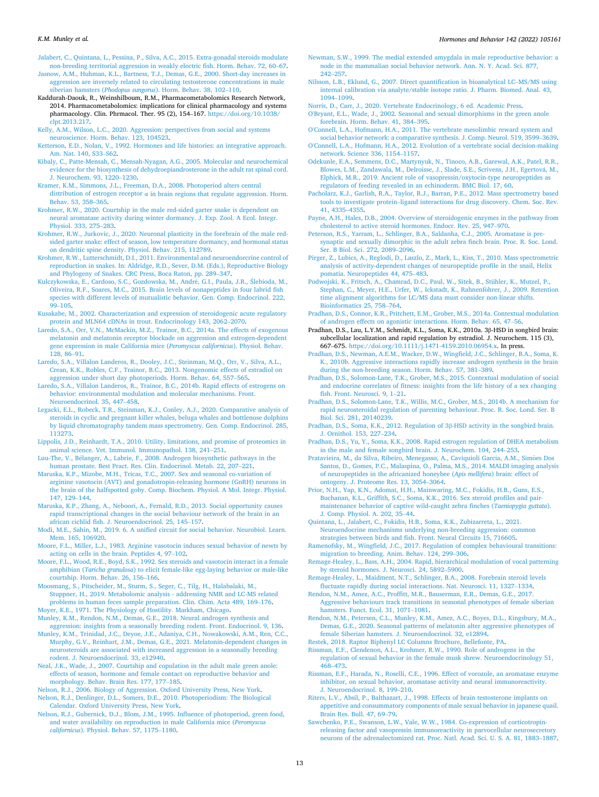<span id="page-12-0"></span>[Jalabert, C., Quintana, L., Pessina, P., Silva, A.C., 2015. Extra-gonadal steroids modulate](http://refhub.elsevier.com/S0018-506X(22)00055-1/rf202203170655266978)  [non-breeding territorial aggression in weakly electric fish. Horm. Behav. 72, 60](http://refhub.elsevier.com/S0018-506X(22)00055-1/rf202203170655266978)–67.

[Jasnow, A.M., Huhman, K.L., Bartness, T.J., Demas, G.E., 2000. Short-day increases in](http://refhub.elsevier.com/S0018-506X(22)00055-1/rf202203170707011645) [aggression are inversely related to circulating testosterone concentrations in male](http://refhub.elsevier.com/S0018-506X(22)00055-1/rf202203170707011645)  siberian hamsters (*Phodopus sungorus*[\). Horm. Behav. 38, 102](http://refhub.elsevier.com/S0018-506X(22)00055-1/rf202203170707011645)–110.

- Kaddurah-Daouk, R., Weinshilboum, R.M., Pharmacometabolomics Research Network, 2014. Pharmacometabolomics: implications for clinical pharmacology and systems pharmacology. Clin. Phrmacol. Ther. 95 (2), 154–167. [https://doi.org/10.1038/](https://doi.org/10.1038/clpt.2013.217)  [clpt.2013.217.](https://doi.org/10.1038/clpt.2013.217)
- [Kelly, A.M., Wilson, L.C., 2020. Aggression: perspectives from social and systems](http://refhub.elsevier.com/S0018-506X(22)00055-1/rf202203170704046918)  [neuroscience. Horm. Behav. 123, 104523](http://refhub.elsevier.com/S0018-506X(22)00055-1/rf202203170704046918).
- [Ketterson, E.D., Nolan, V., 1992. Hormones and life histories: an integrative approach.](http://refhub.elsevier.com/S0018-506X(22)00055-1/rf202203170655272843)  [Am. Nat. 140, S33](http://refhub.elsevier.com/S0018-506X(22)00055-1/rf202203170655272843)–S62.
- [Kibaly, C., Patte-Mensah, C., Mensah-Nyagan, A.G., 2005. Molecular and neurochemical](http://refhub.elsevier.com/S0018-506X(22)00055-1/rf202203170704058997)  [evidence for the biosynthesis of dehydroepiandrosterone in the adult rat spinal cord.](http://refhub.elsevier.com/S0018-506X(22)00055-1/rf202203170704058997)  [J. Neurochem. 93, 1220](http://refhub.elsevier.com/S0018-506X(22)00055-1/rf202203170704058997)–1230.
- [Kramer, K.M., Simmons, J.L., Freeman, D.A., 2008. Photoperiod alters central](http://refhub.elsevier.com/S0018-506X(22)00055-1/rf202203170704063481)  distribution of estrogen receptor  $\alpha$  in brain regions that regulate aggression. Horm. [Behav. 53, 358](http://refhub.elsevier.com/S0018-506X(22)00055-1/rf202203170704063481)–365.
- [Krohmer, R.W., 2020. Courtship in the male red-sided garter snake is dependent on](http://refhub.elsevier.com/S0018-506X(22)00055-1/rf202203170704071998)  [neural aromatase activity during winter dormancy. J. Exp. Zool. A Ecol. Integr.](http://refhub.elsevier.com/S0018-506X(22)00055-1/rf202203170704071998) [Physiol. 333, 275](http://refhub.elsevier.com/S0018-506X(22)00055-1/rf202203170704071998)–283.
- [Krohmer, R.W., Jurkovic, J., 2020. Neuronal plasticity in the forebrain of the male red](http://refhub.elsevier.com/S0018-506X(22)00055-1/rf202203170704082177)[sided garter snake: effect of season, low temperature dormancy, and hormonal status](http://refhub.elsevier.com/S0018-506X(22)00055-1/rf202203170704082177)  [on dendritic spine density. Physiol. Behav. 215, 112789](http://refhub.elsevier.com/S0018-506X(22)00055-1/rf202203170704082177).
- [Krohmer, R.W., Lutterschmidt, D.I., 2011. Environmental and neuroendorcrine control of](http://refhub.elsevier.com/S0018-506X(22)00055-1/rf202203170655297665)  [reproduction in snakes. In: Aldridge, R.D., Sever, D.M. \(Eds.\), Reproductive Biology](http://refhub.elsevier.com/S0018-506X(22)00055-1/rf202203170655297665)  [and Phylogeny of Snakes. CRC Press, Boca Raton, pp. 289](http://refhub.elsevier.com/S0018-506X(22)00055-1/rf202203170655297665)–347.
- [Kulczykowska, E., Cardoso, S.C., Gozdowska, M., Andr](http://refhub.elsevier.com/S0018-506X(22)00055-1/rf202203170704094999)é, G.I., Paula, J.R., Ślebioda, M., [Oliveira, R.F., Soares, M.C., 2015. Brain levels of nonapeptides in four labrid fish](http://refhub.elsevier.com/S0018-506X(22)00055-1/rf202203170704094999)  [species with different levels of mutualistic behavior. Gen. Comp. Endocrinol. 222,](http://refhub.elsevier.com/S0018-506X(22)00055-1/rf202203170704094999)   $99 - 105.$  $99 - 105.$
- [Kusakabe, M., 2002. Characterization and expression of steroidogenic acute regulatory](http://refhub.elsevier.com/S0018-506X(22)00055-1/rf202203170655307635) [protein and MLN64 cDNAs in trout. Endocrinology 143, 2062](http://refhub.elsevier.com/S0018-506X(22)00055-1/rf202203170655307635)–2070.
- [Laredo, S.A., Orr, V.N., McMackin, M.Z., Trainor, B.C., 2014a. The effects of exogenous](http://refhub.elsevier.com/S0018-506X(22)00055-1/rf202203170704096412)  [melatonin and melatonin receptor blockade on aggression and estrogen-dependent](http://refhub.elsevier.com/S0018-506X(22)00055-1/rf202203170704096412) [gene expression in male California mice \(](http://refhub.elsevier.com/S0018-506X(22)00055-1/rf202203170704096412)*Peromyscus californicus*). Physiol. Behav. [128, 86](http://refhub.elsevier.com/S0018-506X(22)00055-1/rf202203170704096412)–91.
- [Laredo, S.A., Villalon Landeros, R., Dooley, J.C., Steinman, M.Q., Orr, V., Silva, A.L.,](http://refhub.elsevier.com/S0018-506X(22)00055-1/rf202203170707031403) [Crean, K.K., Robles, C.F., Trainor, B.C., 2013. Nongenomic effects of estradiol on](http://refhub.elsevier.com/S0018-506X(22)00055-1/rf202203170707031403)  [aggression under short day photoperiods. Horm. Behav. 64, 557](http://refhub.elsevier.com/S0018-506X(22)00055-1/rf202203170707031403)–565.
- [Laredo, S.A., Villalon Landeros, R., Trainor, B.C., 2014b. Rapid effects of estrogens on](http://refhub.elsevier.com/S0018-506X(22)00055-1/rf202203170704155711)  [behavior: environmental modulation and molecular mechanisms. Front.](http://refhub.elsevier.com/S0018-506X(22)00055-1/rf202203170704155711) [Neuroendocrinol. 35, 447](http://refhub.elsevier.com/S0018-506X(22)00055-1/rf202203170704155711)–458.
- [Legacki, E.L., Robeck, T.R., Steinman, K.J., Conley, A.J., 2020. Comparative analysis of](http://refhub.elsevier.com/S0018-506X(22)00055-1/rf202203170704175254)  [steroids in cyclic and pregnant killer whales, beluga whales and bottlenose dolphins](http://refhub.elsevier.com/S0018-506X(22)00055-1/rf202203170704175254)  [by liquid chromatography tandem mass spectrometry. Gen. Comp. Endocrinol. 285,](http://refhub.elsevier.com/S0018-506X(22)00055-1/rf202203170704175254)  [113273](http://refhub.elsevier.com/S0018-506X(22)00055-1/rf202203170704175254).
- [Lippolis, J.D., Reinhardt, T.A., 2010. Utility, limitations, and promise of proteomics in](http://refhub.elsevier.com/S0018-506X(22)00055-1/rf202203170704232561) [animal science. Vet. Immunol. Immunopathol. 138, 241](http://refhub.elsevier.com/S0018-506X(22)00055-1/rf202203170704232561)–251.
- Luu-The, V., Bélanger, A., Labrie, F., 2008. Androgen biosynthetic pathways in the [human prostate. Best Pract. Res. Clin. Endocrinol. Metab. 22, 207](http://refhub.elsevier.com/S0018-506X(22)00055-1/rf202203170704274054)–221.
- [Maruska, K.P., Mizobe, M.H., Tricas, T.C., 2007. Sex and seasonal co-variation of](http://refhub.elsevier.com/S0018-506X(22)00055-1/rf202203170655520889) [arginine vasotocin \(AVT\) and gonadotropin-releasing hormone \(GnRH\) neurons in](http://refhub.elsevier.com/S0018-506X(22)00055-1/rf202203170655520889)  [the brain of the halfspotted goby. Comp. Biochem. Physiol. A Mol. Integr. Physiol.](http://refhub.elsevier.com/S0018-506X(22)00055-1/rf202203170655520889) [147, 129](http://refhub.elsevier.com/S0018-506X(22)00055-1/rf202203170655520889)–144.
- [Maruska, K.P., Zhang, A., Neboori, A., Fernald, R.D., 2013. Social opportunity causes](http://refhub.elsevier.com/S0018-506X(22)00055-1/rf202203170704343291) [rapid transcriptional changes in the social behaviour network of the brain in an](http://refhub.elsevier.com/S0018-506X(22)00055-1/rf202203170704343291)  [african cichlid fish. J. Neuroendocrinol. 25, 145](http://refhub.elsevier.com/S0018-506X(22)00055-1/rf202203170704343291)–157.
- [Modi, M.E., Sahin, M., 2019. 6. A unified circuit for social behavior. Neurobiol. Learn.](http://refhub.elsevier.com/S0018-506X(22)00055-1/rf202203170702430397) [Mem. 165, 106920.](http://refhub.elsevier.com/S0018-506X(22)00055-1/rf202203170702430397)
- [Moore, F.L., Miller, L.J., 1983. Arginine vasotocin induces sexual behavior of newts by](http://refhub.elsevier.com/S0018-506X(22)00055-1/rf202203170707033850)  [acting on cells in the brain. Peptides 4, 97](http://refhub.elsevier.com/S0018-506X(22)00055-1/rf202203170707033850)–102.
- [Moore, F.L., Wood, R.E., Boyd, S.K., 1992. Sex steroids and vasotocin interact in a female](http://refhub.elsevier.com/S0018-506X(22)00055-1/rf202203170704343893)  amphibian (*Taricha granulosa*[\) to elicit female-like egg-laying behavior or male-like](http://refhub.elsevier.com/S0018-506X(22)00055-1/rf202203170704343893)  [courtship. Horm. Behav. 26, 156](http://refhub.elsevier.com/S0018-506X(22)00055-1/rf202203170704343893)–166.
- [Moosmang, S., Pitscheider, M., Sturm, S., Seger, C., Tilg, H., Halabalaki, M.,](http://refhub.elsevier.com/S0018-506X(22)00055-1/rf202203170704274835) [Stuppner, H., 2019. Metabolomic analysis - addressing NMR and LC-MS related](http://refhub.elsevier.com/S0018-506X(22)00055-1/rf202203170704274835)  [problems in human feces sample preparation. Clin. Chim. Acta 489, 169](http://refhub.elsevier.com/S0018-506X(22)00055-1/rf202203170704274835)–176.
- [Moyer, K.E., 1971. The Physiology of Hostility. Markham, Chicago](http://refhub.elsevier.com/S0018-506X(22)00055-1/rf202203170656016670).
- [Munley, K.M., Rendon, N.M., Demas, G.E., 2018. Neural androgen synthesis and](http://refhub.elsevier.com/S0018-506X(22)00055-1/rf202203170656028876) [aggression: insights from a seasonally breeding rodent. Front. Endocrinol. 9, 136](http://refhub.elsevier.com/S0018-506X(22)00055-1/rf202203170656028876).
- [Munley, K.M., Trinidad, J.C., Deyoe, J.E., Adaniya, C.H., Nowakowski, A.M., Ren, C.C.,](http://refhub.elsevier.com/S0018-506X(22)00055-1/rf202203170656040625)  [Murphy, G.V., Reinhart, J.M., Demas, G.E., 2021. Melatonin-dependent changes in](http://refhub.elsevier.com/S0018-506X(22)00055-1/rf202203170656040625) [neurosteroids are associated with increased aggression in a seasonally breeding](http://refhub.elsevier.com/S0018-506X(22)00055-1/rf202203170656040625) [rodent. J. Neuroendocrinol. 33, e12940](http://refhub.elsevier.com/S0018-506X(22)00055-1/rf202203170656040625).
- [Neal, J.K., Wade, J., 2007. Courtship and copulation in the adult male green anole:](http://refhub.elsevier.com/S0018-506X(22)00055-1/rf202203170656050951) [effects of season, hormone and female contact on reproductive behavior and](http://refhub.elsevier.com/S0018-506X(22)00055-1/rf202203170656050951) [morphology. Behav. Brain Res. 177, 177](http://refhub.elsevier.com/S0018-506X(22)00055-1/rf202203170656050951)–185.
- [Nelson, R.J., 2006. Biology of Aggression. Oxford University Press, New York.](http://refhub.elsevier.com/S0018-506X(22)00055-1/rf202203170656111368) [Nelson, R.J., Denlinger, D.L., Somers, D.E., 2010. Photoperiodism: The Biological](http://refhub.elsevier.com/S0018-506X(22)00055-1/rf202203170656167095)  [Calendar. Oxford University Press, New York](http://refhub.elsevier.com/S0018-506X(22)00055-1/rf202203170656167095).
- [Nelson, R.J., Gubernick, D.J., Blom, J.M., 1995. Influence of photoperiod, green food,](http://refhub.elsevier.com/S0018-506X(22)00055-1/rf202203170656182791) [and water availability on reproduction in male California mice \(](http://refhub.elsevier.com/S0018-506X(22)00055-1/rf202203170656182791)*Peromyscus californicus*[\). Physiol. Behav. 57, 1175](http://refhub.elsevier.com/S0018-506X(22)00055-1/rf202203170656182791)–1180.
- [Newman, S.W., 1999. The medial extended amygdala in male reproductive behavior: a](http://refhub.elsevier.com/S0018-506X(22)00055-1/rf202203170707034006) [node in the mammalian social behavior network. Ann. N. Y. Acad. Sci. 877,](http://refhub.elsevier.com/S0018-506X(22)00055-1/rf202203170707034006)  242–[257](http://refhub.elsevier.com/S0018-506X(22)00055-1/rf202203170707034006).
- [Nilsson, L.B., Eklund, G., 2007. Direct quantification in bioanalytical LC](http://refhub.elsevier.com/S0018-506X(22)00055-1/rf202203170707055199)–MS/MS using [internal calibration via analyte/stable isotope ratio. J. Pharm. Biomed. Anal. 43,](http://refhub.elsevier.com/S0018-506X(22)00055-1/rf202203170707055199)  [1094](http://refhub.elsevier.com/S0018-506X(22)00055-1/rf202203170707055199)–1099.
- [Norris, D., Carr, J., 2020. Vertebrate Endocrinology, 6 ed. Academic Press.](http://refhub.elsevier.com/S0018-506X(22)00055-1/rf202203170656254302) [O'Bryant, E.L., Wade, J., 2002. Seasonal and sexual dimorphisms in the green anole](http://refhub.elsevier.com/S0018-506X(22)00055-1/rf202203170704351692) [forebrain. Horm. Behav. 41, 384](http://refhub.elsevier.com/S0018-506X(22)00055-1/rf202203170704351692)–395.
- [O'Connell, L.A., Hofmann, H.A., 2011. The vertebrate mesolimbic reward system and](http://refhub.elsevier.com/S0018-506X(22)00055-1/rf202203170704349973)  [social behavior network: a comparative synthesis. J. Comp. Neurol. 519, 3599](http://refhub.elsevier.com/S0018-506X(22)00055-1/rf202203170704349973)–3639.
- [O'Connell, L.A., Hofmann, H.A., 2012. Evolution of a vertebrate social decision-making](http://refhub.elsevier.com/S0018-506X(22)00055-1/rf202203170704345455)  [network. Science 336, 1154](http://refhub.elsevier.com/S0018-506X(22)00055-1/rf202203170704345455)–1157.
- [Odekunle, E.A., Semmens, D.C., Martynyuk, N., Tinoco, A.B., Garewal, A.K., Patel, R.R.,](http://refhub.elsevier.com/S0018-506X(22)00055-1/rf202203170707072235)  Blowes, L.M., Zandawala, M., Delroisse, J., Slade, S.E., Scrivens, J.H., Egertová, M., [Elphick, M.R., 2019. Ancient role of vasopressin/oxytocin-type neuropeptides as](http://refhub.elsevier.com/S0018-506X(22)00055-1/rf202203170707072235)  [regulators of feeding revealed in an echinoderm. BMC Biol. 17, 60.](http://refhub.elsevier.com/S0018-506X(22)00055-1/rf202203170707072235)
- [Pacholarz, K.J., Garlish, R.A., Taylor, R.J., Barran, P.E., 2012. Mass spectrometry based](http://refhub.elsevier.com/S0018-506X(22)00055-1/rf202203170704381831)  tools to investigate protein–[ligand interactions for drug discovery. Chem. Soc. Rev.](http://refhub.elsevier.com/S0018-506X(22)00055-1/rf202203170704381831)  [41, 4335](http://refhub.elsevier.com/S0018-506X(22)00055-1/rf202203170704381831)–4355.
- [Payne, A.H., Hales, D.B., 2004. Overview of steroidogenic enzymes in the pathway from](http://refhub.elsevier.com/S0018-506X(22)00055-1/rf202203170704384175)  [cholesterol to active steroid hormones. Endocr. Rev. 25, 947](http://refhub.elsevier.com/S0018-506X(22)00055-1/rf202203170704384175)–970.
- [Peterson, R.S., Yarram, L., Schlinger, B.A., Saldanha, C.J., 2005. Aromatase is pre](http://refhub.elsevier.com/S0018-506X(22)00055-1/rf202203170656466120)[synaptic and sexually dimorphic in the adult zebra finch brain. Proc. R. Soc. Lond.](http://refhub.elsevier.com/S0018-506X(22)00055-1/rf202203170656466120)  [Ser. B Biol. Sci. 272, 2089](http://refhub.elsevier.com/S0018-506X(22)00055-1/rf202203170656466120)–2096.
- [Pirger, Z., Lubics, A., Reglodi, D., Laszlo, Z., Mark, L., Kiss, T., 2010. Mass spectrometric](http://refhub.elsevier.com/S0018-506X(22)00055-1/rf202203170707073734)  [analysis of activity-dependent changes of neuropeptide profile in the snail, Helix](http://refhub.elsevier.com/S0018-506X(22)00055-1/rf202203170707073734)  [pomatia. Neuropeptides 44, 475](http://refhub.elsevier.com/S0018-506X(22)00055-1/rf202203170707073734)–483.
- [Podwojski, K., Fritsch, A., Chamrad, D.C., Paul, W., Sitek, B., Stühler, K., Mutzel, P.,](http://refhub.elsevier.com/S0018-506X(22)00055-1/rf202203170656475820)  Stephan, C., Meyer, H.E., Urfer, W., Ickstadt, K., Rahnenföhrer, J., 2009. Retention [time alignment algorithms for LC/MS data must consider non-linear shifts.](http://refhub.elsevier.com/S0018-506X(22)00055-1/rf202203170656475820)  [Bioinformatics 25, 758](http://refhub.elsevier.com/S0018-506X(22)00055-1/rf202203170656475820)–764.
- [Pradhan, D.S., Connor, K.R., Pritchett, E.M., Grober, M.S., 2014a. Contextual modulation](http://refhub.elsevier.com/S0018-506X(22)00055-1/rf202203170704387925)  [of androgen effects on agonistic interactions. Horm. Behav. 65, 47](http://refhub.elsevier.com/S0018-506X(22)00055-1/rf202203170704387925)–56.
- Pradhan, D.S., Lau, L.Y.M., Schmidt, K.L., Soma, K.K., 2010a. 3β-HSD in songbird brain: subcellular localization and rapid regulation by estradiol. J. Neurochem. 115 (3),
- 667–675. <https://doi.org/10.1111/j.1471-4159.2010.06954.x>. In press. [Pradhan, D.S., Newman, A.E.M., Wacker, D.W., Wingfield, J.C., Schlinger, B.A., Soma, K.](http://refhub.elsevier.com/S0018-506X(22)00055-1/rf202203170707079545)  [K., 2010b. Aggressive interactions rapidly increase androgen synthesis in the brain](http://refhub.elsevier.com/S0018-506X(22)00055-1/rf202203170707079545)  [during the non-breeding season. Horm. Behav. 57, 381](http://refhub.elsevier.com/S0018-506X(22)00055-1/rf202203170707079545)–389.
- [Pradhan, D.S., Solomon-Lane, T.K., Grober, M.S., 2015. Contextual modulation of social](http://refhub.elsevier.com/S0018-506X(22)00055-1/rf202203170656487999)  [and endocrine correlates of fitness: insights from the life history of a sex changing](http://refhub.elsevier.com/S0018-506X(22)00055-1/rf202203170656487999)  [fish. Front. Neurosci. 9, 1](http://refhub.elsevier.com/S0018-506X(22)00055-1/rf202203170656487999)–21.
- [Pradhan, D.S., Solomon-Lane, T.K., Willis, M.C., Grober, M.S., 2014b. A mechanism for](http://refhub.elsevier.com/S0018-506X(22)00055-1/rf202203170656497547)  [rapid neurosteroidal regulation of parenting behaviour. Proc. R. Soc. Lond. Ser. B](http://refhub.elsevier.com/S0018-506X(22)00055-1/rf202203170656497547)  [Biol. Sci. 281, 20140239](http://refhub.elsevier.com/S0018-506X(22)00055-1/rf202203170656497547).
- [Pradhan, D.S., Soma, K.K., 2012. Regulation of 3](http://refhub.elsevier.com/S0018-506X(22)00055-1/rf202203170704444905)β-HSD activity in the songbird brain. [J. Ornithol. 153, 227](http://refhub.elsevier.com/S0018-506X(22)00055-1/rf202203170704444905)–234.
- [Pradhan, D.S., Yu, Y., Soma, K.K., 2008. Rapid estrogen regulation of DHEA metabolism](http://refhub.elsevier.com/S0018-506X(22)00055-1/rf202203170704471047)  [in the male and female songbird brain. J. Neurochem. 104, 244](http://refhub.elsevier.com/S0018-506X(22)00055-1/rf202203170704471047)–253.
- Pratavieira, M., da Silva, Ribeiro, Menegasso, A., Caviquioli Garcia, A.M., Simões Dos [Santos, D., Gomes, P.C., Malaspina, O., Palma, M.S., 2014. MALDI imaging analysis](http://refhub.elsevier.com/S0018-506X(22)00055-1/rf202203170656514066)  [of neuropeptides in the africanized honeybee \(](http://refhub.elsevier.com/S0018-506X(22)00055-1/rf202203170656514066)*Apis mellifera*) brain: effect of [ontogeny. J. Proteome Res. 13, 3054](http://refhub.elsevier.com/S0018-506X(22)00055-1/rf202203170656514066)–3064.
- [Prior, N.H., Yap, K.N., Adomat, H.H., Mainwaring, M.C., Fokidis, H.B., Guns, E.S.,](http://refhub.elsevier.com/S0018-506X(22)00055-1/rf202203170657171409) [Buchanan, K.L., Griffith, S.C., Soma, K.K., 2016. Sex steroid profiles and pair](http://refhub.elsevier.com/S0018-506X(22)00055-1/rf202203170657171409)[maintenance behavior of captive wild-caught zebra finches \(](http://refhub.elsevier.com/S0018-506X(22)00055-1/rf202203170657171409)*Taeniopygia guttata*). [J. Comp. Physiol. A. 202, 35](http://refhub.elsevier.com/S0018-506X(22)00055-1/rf202203170657171409)–44.
- [Quintana, L., Jalabert, C., Fokidis, H.B., Soma, K.K., Zubizarreta, L., 2021.](http://refhub.elsevier.com/S0018-506X(22)00055-1/rf202203170657278293) [Neuroendocrine mechanisms underlying non-breeding aggression: common](http://refhub.elsevier.com/S0018-506X(22)00055-1/rf202203170657278293)
- [strategies between birds and fish. Front. Neural Circuits 15, 716605.](http://refhub.elsevier.com/S0018-506X(22)00055-1/rf202203170657278293) [Ramenofsky, M., Wingfield, J.C., 2017. Regulation of complex behavioural transitions:](http://refhub.elsevier.com/S0018-506X(22)00055-1/rf202203170704421869)
- [migration to breeding. Anim. Behav. 124, 299](http://refhub.elsevier.com/S0018-506X(22)00055-1/rf202203170704421869)–306. [Remage-Healey, L., Bass, A.H., 2004. Rapid, hierarchical modulation of vocal patterning](http://refhub.elsevier.com/S0018-506X(22)00055-1/rf202203170704482304)  [by steroid hormones. J. Neurosci. 24, 5892](http://refhub.elsevier.com/S0018-506X(22)00055-1/rf202203170704482304)–5900.
- [Remage-Healey, L., Maidment, N.T., Schlinger, B.A., 2008. Forebrain steroid levels](http://refhub.elsevier.com/S0018-506X(22)00055-1/rf202203170711480622) [fluctuate rapidly during social interactions. Nat. Neurosci. 11, 1327](http://refhub.elsevier.com/S0018-506X(22)00055-1/rf202203170711480622)–1334.
- [Rendon, N.M., Amez, A.C., Proffitt, M.R., Bauserman, E.R., Demas, G.E., 2017.](http://refhub.elsevier.com/S0018-506X(22)00055-1/rf202203170705221126) [Aggressive behaviours track transitions in seasonal phenotypes of female siberian](http://refhub.elsevier.com/S0018-506X(22)00055-1/rf202203170705221126)
- [hamsters. Funct. Ecol. 31, 1071](http://refhub.elsevier.com/S0018-506X(22)00055-1/rf202203170705221126)–1081. [Rendon, N.M., Petersen, C.L., Munley, K.M., Amez, A.C., Boyes, D.L., Kingsbury, M.A.,](http://refhub.elsevier.com/S0018-506X(22)00055-1/rf202203170657368377)
- [Demas, G.E., 2020. Seasonal patterns of melatonin alter aggressive phenotypes of](http://refhub.elsevier.com/S0018-506X(22)00055-1/rf202203170657368377) [female Siberian hamsters. J. Neuroendocrinol. 32, e12894.](http://refhub.elsevier.com/S0018-506X(22)00055-1/rf202203170657368377)
- [Restek, 2018. Raptor Biphenyl LC Columns Brochure, Bellefonte, PA.](http://refhub.elsevier.com/S0018-506X(22)00055-1/rf202203170657512030)

[Rissman, E.F., Clendenon, A.L., Krohmer, R.W., 1990. Role of androgens in the](http://refhub.elsevier.com/S0018-506X(22)00055-1/rf202203170657588230) [regulation of sexual behavior in the female musk shrew. Neuroendocrinology 51,](http://refhub.elsevier.com/S0018-506X(22)00055-1/rf202203170657588230) 468–[473](http://refhub.elsevier.com/S0018-506X(22)00055-1/rf202203170657588230).

- [Rissman, E.F., Harada, N., Roselli, C.E., 1996. Effect of vorozole, an aromatase enzyme](http://refhub.elsevier.com/S0018-506X(22)00055-1/rf202203170705216016) [inhibitor, on sexual behavior, aromatase activity and neural immunoreactivity.](http://refhub.elsevier.com/S0018-506X(22)00055-1/rf202203170705216016) [J. Neuroendocrinol. 8, 199](http://refhub.elsevier.com/S0018-506X(22)00055-1/rf202203170705216016)–210.
- [Riters, L.V., Absil, P., Balthazart, J., 1998. Effects of brain testosterone implants on](http://refhub.elsevier.com/S0018-506X(22)00055-1/rf202203170705217734)  [appetitive and consummatory components of male sexual behavior in japanese quail.](http://refhub.elsevier.com/S0018-506X(22)00055-1/rf202203170705217734)  [Brain Res. Bull. 47, 69](http://refhub.elsevier.com/S0018-506X(22)00055-1/rf202203170705217734)–79.
- [Sawchenko, P.E., Swanson, L.W., Vale, W.W., 1984. Co-expression of corticotropin](http://refhub.elsevier.com/S0018-506X(22)00055-1/rf202203170707201345)[releasing factor and vasopressin immunoreactivity in parvocellular neurosecretory](http://refhub.elsevier.com/S0018-506X(22)00055-1/rf202203170707201345) [neurons of the adrenalectomized rat. Proc. Natl. Acad. Sci. U. S. A. 81, 1883](http://refhub.elsevier.com/S0018-506X(22)00055-1/rf202203170707201345)–1887.